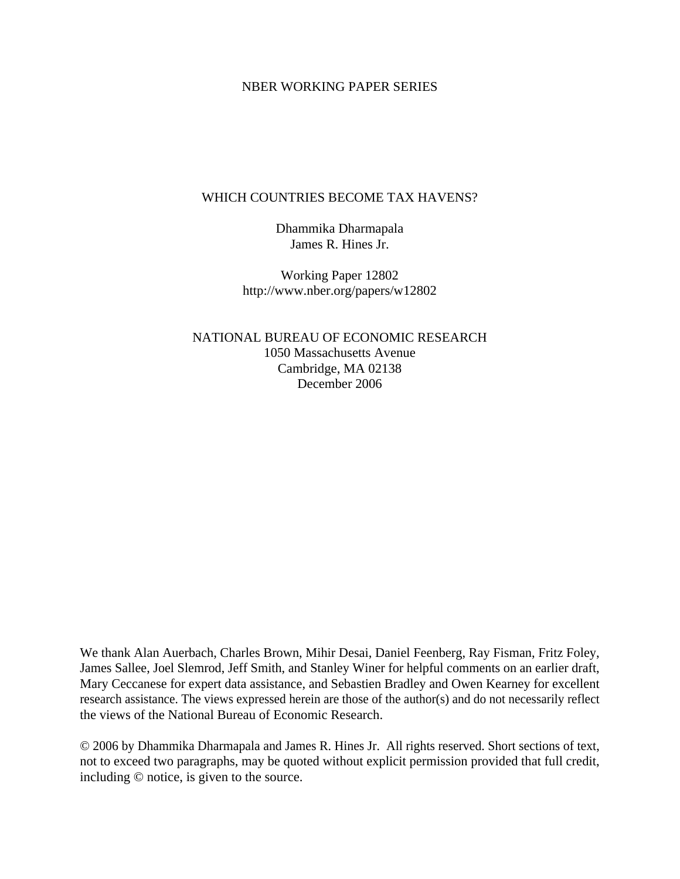### NBER WORKING PAPER SERIES

## WHICH COUNTRIES BECOME TAX HAVENS?

Dhammika Dharmapala James R. Hines Jr.

Working Paper 12802 http://www.nber.org/papers/w12802

NATIONAL BUREAU OF ECONOMIC RESEARCH 1050 Massachusetts Avenue Cambridge, MA 02138 December 2006

We thank Alan Auerbach, Charles Brown, Mihir Desai, Daniel Feenberg, Ray Fisman, Fritz Foley, James Sallee, Joel Slemrod, Jeff Smith, and Stanley Winer for helpful comments on an earlier draft, Mary Ceccanese for expert data assistance, and Sebastien Bradley and Owen Kearney for excellent research assistance. The views expressed herein are those of the author(s) and do not necessarily reflect the views of the National Bureau of Economic Research.

© 2006 by Dhammika Dharmapala and James R. Hines Jr. All rights reserved. Short sections of text, not to exceed two paragraphs, may be quoted without explicit permission provided that full credit, including © notice, is given to the source.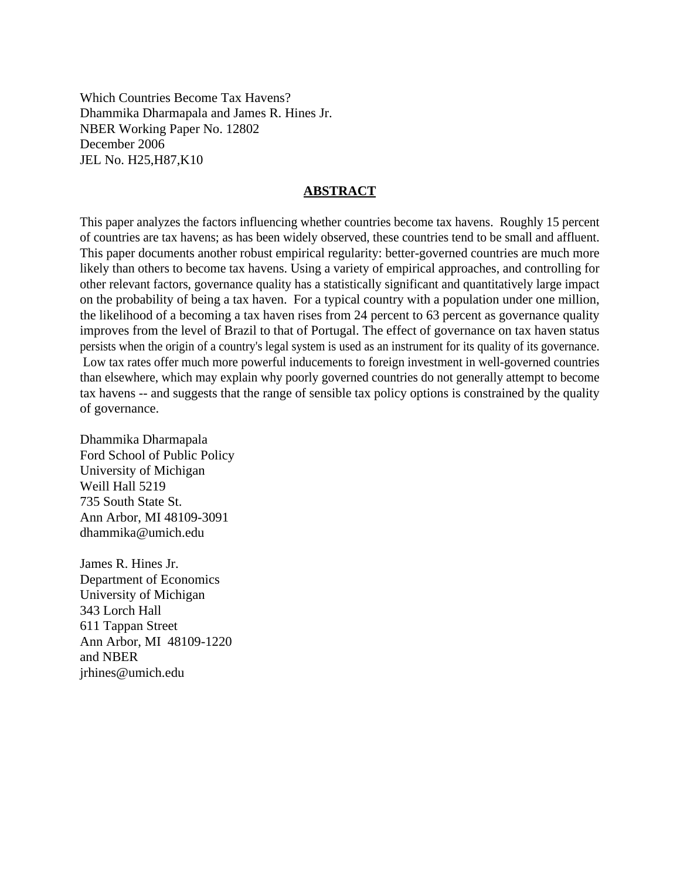Which Countries Become Tax Havens? Dhammika Dharmapala and James R. Hines Jr. NBER Working Paper No. 12802 December 2006 JEL No. H25,H87,K10

## **ABSTRACT**

This paper analyzes the factors influencing whether countries become tax havens. Roughly 15 percent of countries are tax havens; as has been widely observed, these countries tend to be small and affluent. This paper documents another robust empirical regularity: better-governed countries are much more likely than others to become tax havens. Using a variety of empirical approaches, and controlling for other relevant factors, governance quality has a statistically significant and quantitatively large impact on the probability of being a tax haven. For a typical country with a population under one million, the likelihood of a becoming a tax haven rises from 24 percent to 63 percent as governance quality improves from the level of Brazil to that of Portugal. The effect of governance on tax haven status persists when the origin of a country's legal system is used as an instrument for its quality of its governance. Low tax rates offer much more powerful inducements to foreign investment in well-governed countries than elsewhere, which may explain why poorly governed countries do not generally attempt to become tax havens -- and suggests that the range of sensible tax policy options is constrained by the quality of governance.

Dhammika Dharmapala Ford School of Public Policy University of Michigan Weill Hall 5219 735 South State St. Ann Arbor, MI 48109-3091 dhammika@umich.edu

James R. Hines Jr. Department of Economics University of Michigan 343 Lorch Hall 611 Tappan Street Ann Arbor, MI 48109-1220 and NBER jrhines@umich.edu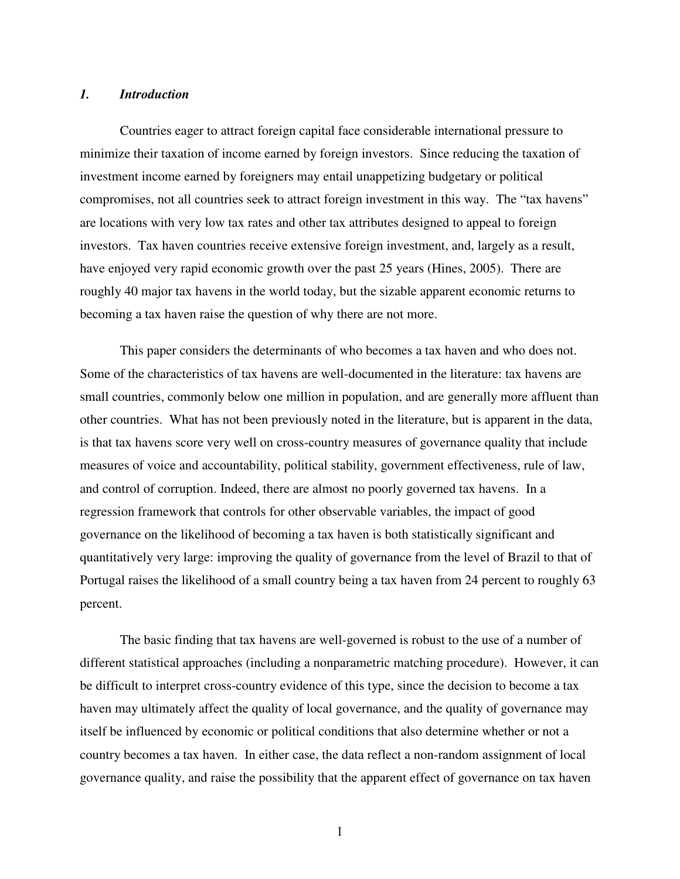#### *1. Introduction*

Countries eager to attract foreign capital face considerable international pressure to minimize their taxation of income earned by foreign investors. Since reducing the taxation of investment income earned by foreigners may entail unappetizing budgetary or political compromises, not all countries seek to attract foreign investment in this way. The "tax havens" are locations with very low tax rates and other tax attributes designed to appeal to foreign investors. Tax haven countries receive extensive foreign investment, and, largely as a result, have enjoyed very rapid economic growth over the past 25 years (Hines, 2005). There are roughly 40 major tax havens in the world today, but the sizable apparent economic returns to becoming a tax haven raise the question of why there are not more.

This paper considers the determinants of who becomes a tax haven and who does not. Some of the characteristics of tax havens are well-documented in the literature: tax havens are small countries, commonly below one million in population, and are generally more affluent than other countries. What has not been previously noted in the literature, but is apparent in the data, is that tax havens score very well on cross-country measures of governance quality that include measures of voice and accountability, political stability, government effectiveness, rule of law, and control of corruption. Indeed, there are almost no poorly governed tax havens. In a regression framework that controls for other observable variables, the impact of good governance on the likelihood of becoming a tax haven is both statistically significant and quantitatively very large: improving the quality of governance from the level of Brazil to that of Portugal raises the likelihood of a small country being a tax haven from 24 percent to roughly 63 percent.

The basic finding that tax havens are well-governed is robust to the use of a number of different statistical approaches (including a nonparametric matching procedure). However, it can be difficult to interpret cross-country evidence of this type, since the decision to become a tax haven may ultimately affect the quality of local governance, and the quality of governance may itself be influenced by economic or political conditions that also determine whether or not a country becomes a tax haven. In either case, the data reflect a non-random assignment of local governance quality, and raise the possibility that the apparent effect of governance on tax haven

1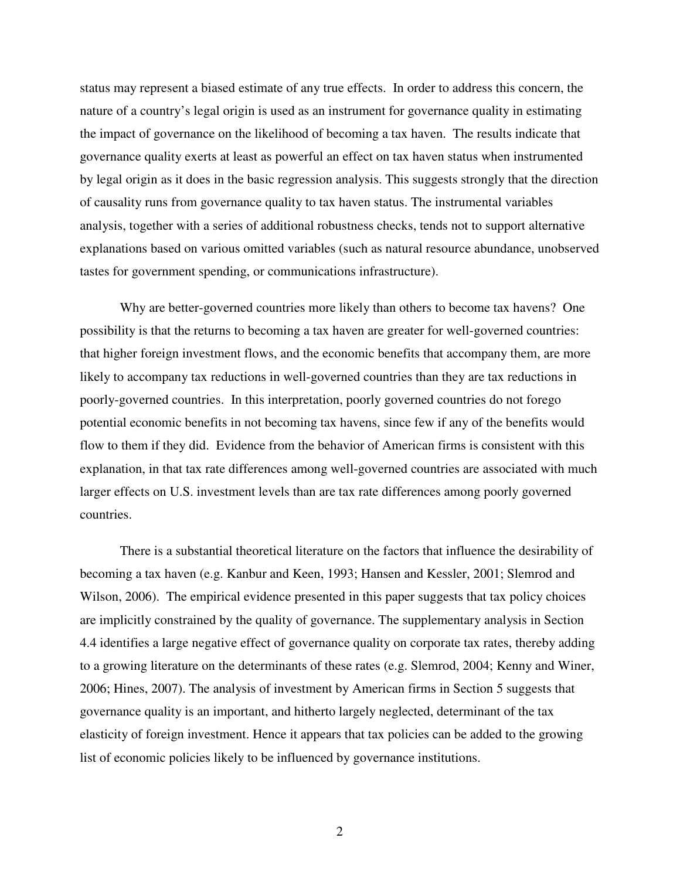status may represent a biased estimate of any true effects. In order to address this concern, the nature of a country's legal origin is used as an instrument for governance quality in estimating the impact of governance on the likelihood of becoming a tax haven. The results indicate that governance quality exerts at least as powerful an effect on tax haven status when instrumented by legal origin as it does in the basic regression analysis. This suggests strongly that the direction of causality runs from governance quality to tax haven status. The instrumental variables analysis, together with a series of additional robustness checks, tends not to support alternative explanations based on various omitted variables (such as natural resource abundance, unobserved tastes for government spending, or communications infrastructure).

Why are better-governed countries more likely than others to become tax havens? One possibility is that the returns to becoming a tax haven are greater for well-governed countries: that higher foreign investment flows, and the economic benefits that accompany them, are more likely to accompany tax reductions in well-governed countries than they are tax reductions in poorly-governed countries. In this interpretation, poorly governed countries do not forego potential economic benefits in not becoming tax havens, since few if any of the benefits would flow to them if they did. Evidence from the behavior of American firms is consistent with this explanation, in that tax rate differences among well-governed countries are associated with much larger effects on U.S. investment levels than are tax rate differences among poorly governed countries.

There is a substantial theoretical literature on the factors that influence the desirability of becoming a tax haven (e.g. Kanbur and Keen, 1993; Hansen and Kessler, 2001; Slemrod and Wilson, 2006). The empirical evidence presented in this paper suggests that tax policy choices are implicitly constrained by the quality of governance. The supplementary analysis in Section 4.4 identifies a large negative effect of governance quality on corporate tax rates, thereby adding to a growing literature on the determinants of these rates (e.g. Slemrod, 2004; Kenny and Winer, 2006; Hines, 2007). The analysis of investment by American firms in Section 5 suggests that governance quality is an important, and hitherto largely neglected, determinant of the tax elasticity of foreign investment. Hence it appears that tax policies can be added to the growing list of economic policies likely to be influenced by governance institutions.

2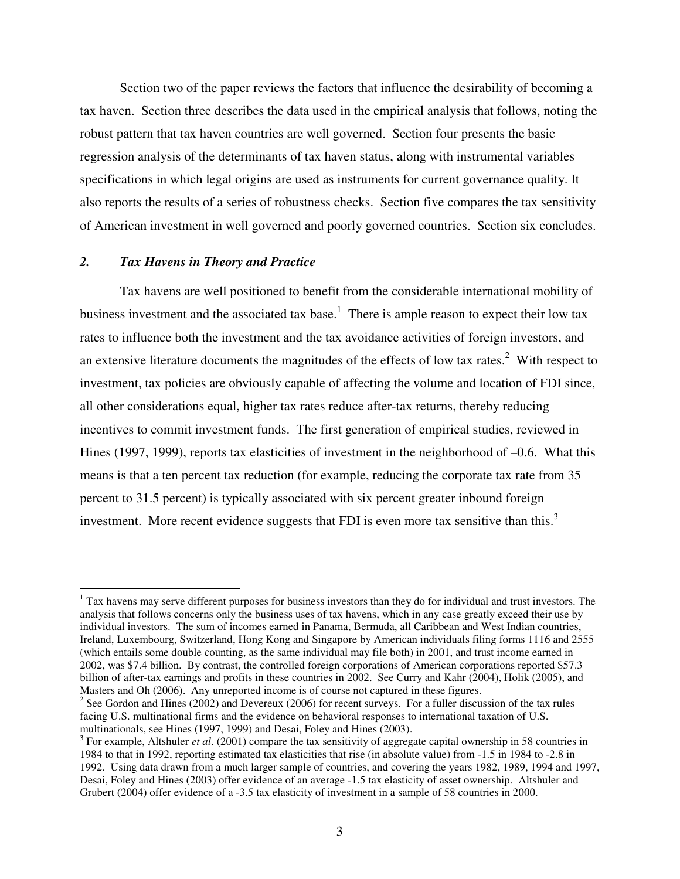Section two of the paper reviews the factors that influence the desirability of becoming a tax haven. Section three describes the data used in the empirical analysis that follows, noting the robust pattern that tax haven countries are well governed. Section four presents the basic regression analysis of the determinants of tax haven status, along with instrumental variables specifications in which legal origins are used as instruments for current governance quality. It also reports the results of a series of robustness checks. Section five compares the tax sensitivity of American investment in well governed and poorly governed countries. Section six concludes.

#### *2. Tax Havens in Theory and Practice*

Tax havens are well positioned to benefit from the considerable international mobility of business investment and the associated tax base.<sup>1</sup> There is ample reason to expect their low tax rates to influence both the investment and the tax avoidance activities of foreign investors, and an extensive literature documents the magnitudes of the effects of low tax rates. $2$  With respect to investment, tax policies are obviously capable of affecting the volume and location of FDI since, all other considerations equal, higher tax rates reduce after-tax returns, thereby reducing incentives to commit investment funds. The first generation of empirical studies, reviewed in Hines (1997, 1999), reports tax elasticities of investment in the neighborhood of  $-0.6$ . What this means is that a ten percent tax reduction (for example, reducing the corporate tax rate from 35 percent to 31.5 percent) is typically associated with six percent greater inbound foreign investment. More recent evidence suggests that FDI is even more tax sensitive than this.<sup>3</sup>

<sup>&</sup>lt;sup>1</sup> Tax havens may serve different purposes for business investors than they do for individual and trust investors. The analysis that follows concerns only the business uses of tax havens, which in any case greatly exceed their use by individual investors. The sum of incomes earned in Panama, Bermuda, all Caribbean and West Indian countries, Ireland, Luxembourg, Switzerland, Hong Kong and Singapore by American individuals filing forms 1116 and 2555 (which entails some double counting, as the same individual may file both) in 2001, and trust income earned in 2002, was \$7.4 billion. By contrast, the controlled foreign corporations of American corporations reported \$57.3 billion of after-tax earnings and profits in these countries in 2002. See Curry and Kahr (2004), Holik (2005), and Masters and Oh (2006). Any unreported income is of course not captured in these figures.

<sup>&</sup>lt;sup>2</sup> See Gordon and Hines (2002) and Devereux (2006) for recent surveys. For a fuller discussion of the tax rules facing U.S. multinational firms and the evidence on behavioral responses to international taxation of U.S. multinationals, see Hines (1997, 1999) and Desai, Foley and Hines (2003).

<sup>&</sup>lt;sup>3</sup> For example, Altshuler *et al.* (2001) compare the tax sensitivity of aggregate capital ownership in 58 countries in 1984 to that in 1992, reporting estimated tax elasticities that rise (in absolute value) from -1.5 in 1984 to -2.8 in 1992. Using data drawn from a much larger sample of countries, and covering the years 1982, 1989, 1994 and 1997, Desai, Foley and Hines (2003) offer evidence of an average -1.5 tax elasticity of asset ownership. Altshuler and Grubert (2004) offer evidence of a -3.5 tax elasticity of investment in a sample of 58 countries in 2000.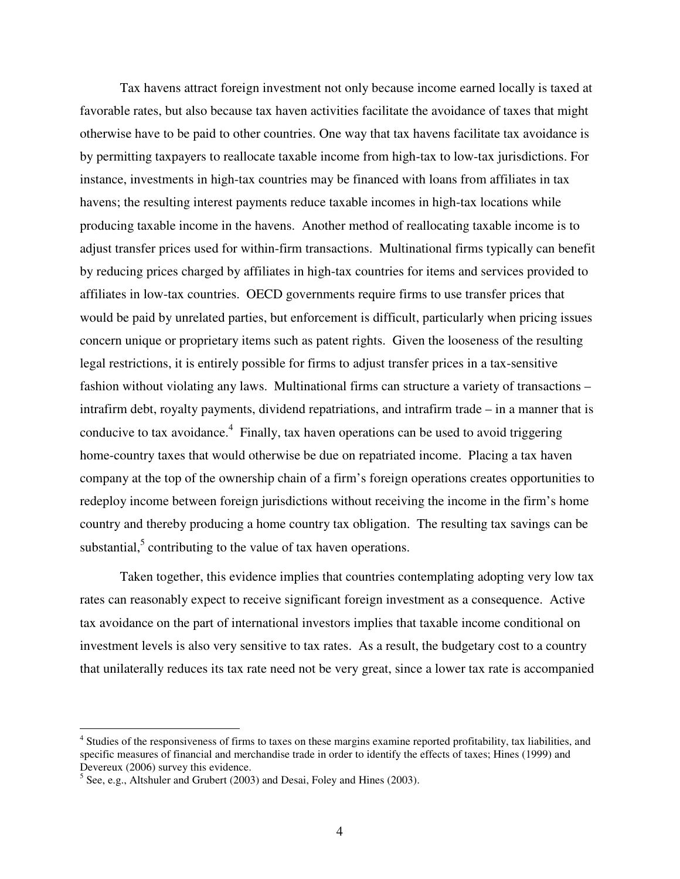Tax havens attract foreign investment not only because income earned locally is taxed at favorable rates, but also because tax haven activities facilitate the avoidance of taxes that might otherwise have to be paid to other countries. One way that tax havens facilitate tax avoidance is by permitting taxpayers to reallocate taxable income from high-tax to low-tax jurisdictions. For instance, investments in high-tax countries may be financed with loans from affiliates in tax havens; the resulting interest payments reduce taxable incomes in high-tax locations while producing taxable income in the havens. Another method of reallocating taxable income is to adjust transfer prices used for within-firm transactions. Multinational firms typically can benefit by reducing prices charged by affiliates in high-tax countries for items and services provided to affiliates in low-tax countries. OECD governments require firms to use transfer prices that would be paid by unrelated parties, but enforcement is difficult, particularly when pricing issues concern unique or proprietary items such as patent rights. Given the looseness of the resulting legal restrictions, it is entirely possible for firms to adjust transfer prices in a tax-sensitive fashion without violating any laws. Multinational firms can structure a variety of transactions – intrafirm debt, royalty payments, dividend repatriations, and intrafirm trade – in a manner that is conducive to tax avoidance.<sup>4</sup> Finally, tax haven operations can be used to avoid triggering home-country taxes that would otherwise be due on repatriated income. Placing a tax haven company at the top of the ownership chain of a firm's foreign operations creates opportunities to redeploy income between foreign jurisdictions without receiving the income in the firm's home country and thereby producing a home country tax obligation. The resulting tax savings can be substantial, $5$  contributing to the value of tax haven operations.

Taken together, this evidence implies that countries contemplating adopting very low tax rates can reasonably expect to receive significant foreign investment as a consequence. Active tax avoidance on the part of international investors implies that taxable income conditional on investment levels is also very sensitive to tax rates. As a result, the budgetary cost to a country that unilaterally reduces its tax rate need not be very great, since a lower tax rate is accompanied

<sup>&</sup>lt;sup>4</sup> Studies of the responsiveness of firms to taxes on these margins examine reported profitability, tax liabilities, and specific measures of financial and merchandise trade in order to identify the effects of taxes; Hines (1999) and Devereux (2006) survey this evidence.

 $<sup>5</sup>$  See, e.g., Altshuler and Grubert (2003) and Desai, Foley and Hines (2003).</sup>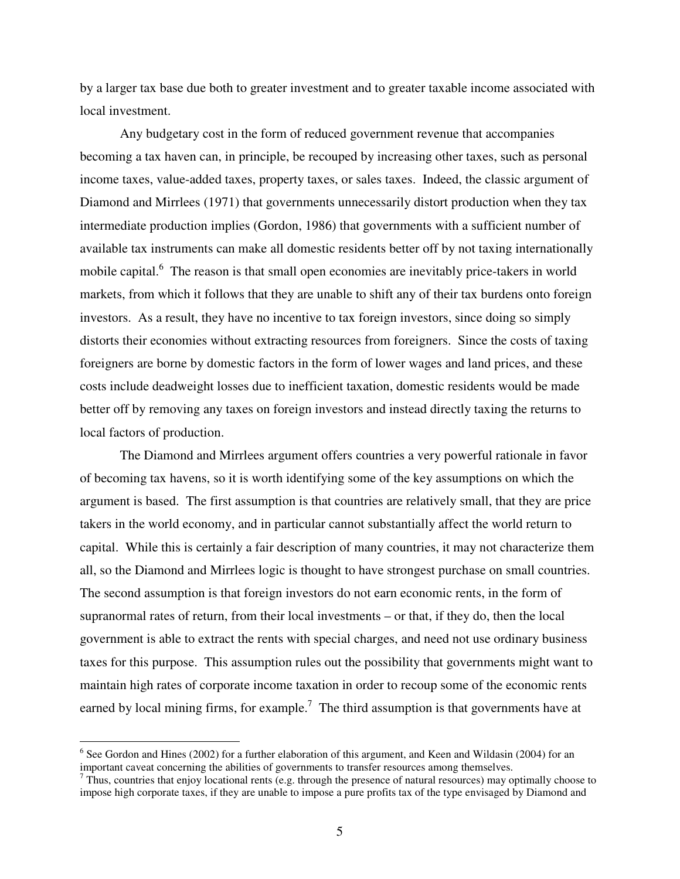by a larger tax base due both to greater investment and to greater taxable income associated with local investment.

Any budgetary cost in the form of reduced government revenue that accompanies becoming a tax haven can, in principle, be recouped by increasing other taxes, such as personal income taxes, value-added taxes, property taxes, or sales taxes. Indeed, the classic argument of Diamond and Mirrlees (1971) that governments unnecessarily distort production when they tax intermediate production implies (Gordon, 1986) that governments with a sufficient number of available tax instruments can make all domestic residents better off by not taxing internationally mobile capital.<sup>6</sup> The reason is that small open economies are inevitably price-takers in world markets, from which it follows that they are unable to shift any of their tax burdens onto foreign investors. As a result, they have no incentive to tax foreign investors, since doing so simply distorts their economies without extracting resources from foreigners. Since the costs of taxing foreigners are borne by domestic factors in the form of lower wages and land prices, and these costs include deadweight losses due to inefficient taxation, domestic residents would be made better off by removing any taxes on foreign investors and instead directly taxing the returns to local factors of production.

The Diamond and Mirrlees argument offers countries a very powerful rationale in favor of becoming tax havens, so it is worth identifying some of the key assumptions on which the argument is based. The first assumption is that countries are relatively small, that they are price takers in the world economy, and in particular cannot substantially affect the world return to capital. While this is certainly a fair description of many countries, it may not characterize them all, so the Diamond and Mirrlees logic is thought to have strongest purchase on small countries. The second assumption is that foreign investors do not earn economic rents, in the form of supranormal rates of return, from their local investments – or that, if they do, then the local government is able to extract the rents with special charges, and need not use ordinary business taxes for this purpose. This assumption rules out the possibility that governments might want to maintain high rates of corporate income taxation in order to recoup some of the economic rents earned by local mining firms, for example.<sup>7</sup> The third assumption is that governments have at

<sup>&</sup>lt;sup>6</sup> See Gordon and Hines (2002) for a further elaboration of this argument, and Keen and Wildasin (2004) for an important caveat concerning the abilities of governments to transfer resources among themselves.

 $^7$  Thus, countries that enjoy locational rents (e.g. through the presence of natural resources) may optimally choose to impose high corporate taxes, if they are unable to impose a pure profits tax of the type envisaged by Diamond and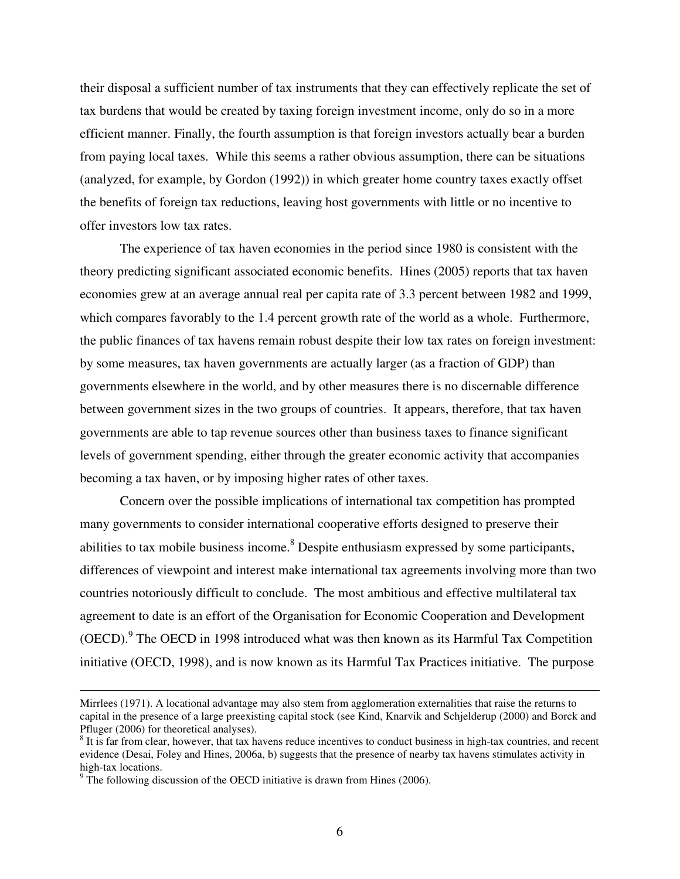their disposal a sufficient number of tax instruments that they can effectively replicate the set of tax burdens that would be created by taxing foreign investment income, only do so in a more efficient manner. Finally, the fourth assumption is that foreign investors actually bear a burden from paying local taxes. While this seems a rather obvious assumption, there can be situations (analyzed, for example, by Gordon (1992)) in which greater home country taxes exactly offset the benefits of foreign tax reductions, leaving host governments with little or no incentive to offer investors low tax rates.

The experience of tax haven economies in the period since 1980 is consistent with the theory predicting significant associated economic benefits. Hines (2005) reports that tax haven economies grew at an average annual real per capita rate of 3.3 percent between 1982 and 1999, which compares favorably to the 1.4 percent growth rate of the world as a whole. Furthermore, the public finances of tax havens remain robust despite their low tax rates on foreign investment: by some measures, tax haven governments are actually larger (as a fraction of GDP) than governments elsewhere in the world, and by other measures there is no discernable difference between government sizes in the two groups of countries. It appears, therefore, that tax haven governments are able to tap revenue sources other than business taxes to finance significant levels of government spending, either through the greater economic activity that accompanies becoming a tax haven, or by imposing higher rates of other taxes.

Concern over the possible implications of international tax competition has prompted many governments to consider international cooperative efforts designed to preserve their abilities to tax mobile business income.<sup>8</sup> Despite enthusiasm expressed by some participants, differences of viewpoint and interest make international tax agreements involving more than two countries notoriously difficult to conclude. The most ambitious and effective multilateral tax agreement to date is an effort of the Organisation for Economic Cooperation and Development (OECD).<sup>9</sup> The OECD in 1998 introduced what was then known as its Harmful Tax Competition initiative (OECD, 1998), and is now known as its Harmful Tax Practices initiative. The purpose

Mirrlees (1971). A locational advantage may also stem from agglomeration externalities that raise the returns to capital in the presence of a large preexisting capital stock (see Kind, Knarvik and Schjelderup (2000) and Borck and Pfluger (2006) for theoretical analyses).

 $8$  It is far from clear, however, that tax havens reduce incentives to conduct business in high-tax countries, and recent evidence (Desai, Foley and Hines, 2006a, b) suggests that the presence of nearby tax havens stimulates activity in high-tax locations.

 $9^9$  The following discussion of the OECD initiative is drawn from Hines (2006).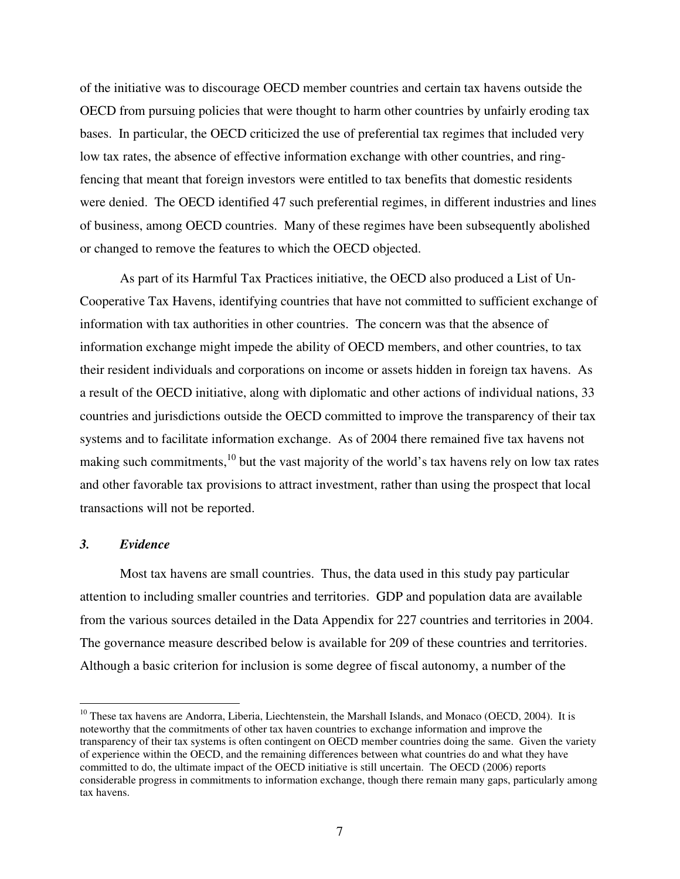of the initiative was to discourage OECD member countries and certain tax havens outside the OECD from pursuing policies that were thought to harm other countries by unfairly eroding tax bases. In particular, the OECD criticized the use of preferential tax regimes that included very low tax rates, the absence of effective information exchange with other countries, and ringfencing that meant that foreign investors were entitled to tax benefits that domestic residents were denied. The OECD identified 47 such preferential regimes, in different industries and lines of business, among OECD countries. Many of these regimes have been subsequently abolished or changed to remove the features to which the OECD objected.

As part of its Harmful Tax Practices initiative, the OECD also produced a List of Un-Cooperative Tax Havens, identifying countries that have not committed to sufficient exchange of information with tax authorities in other countries. The concern was that the absence of information exchange might impede the ability of OECD members, and other countries, to tax their resident individuals and corporations on income or assets hidden in foreign tax havens. As a result of the OECD initiative, along with diplomatic and other actions of individual nations, 33 countries and jurisdictions outside the OECD committed to improve the transparency of their tax systems and to facilitate information exchange. As of 2004 there remained five tax havens not making such commitments,<sup>10</sup> but the vast majority of the world's tax havens rely on low tax rates and other favorable tax provisions to attract investment, rather than using the prospect that local transactions will not be reported.

#### *3. Evidence*

Most tax havens are small countries. Thus, the data used in this study pay particular attention to including smaller countries and territories. GDP and population data are available from the various sources detailed in the Data Appendix for 227 countries and territories in 2004. The governance measure described below is available for 209 of these countries and territories. Although a basic criterion for inclusion is some degree of fiscal autonomy, a number of the

<sup>&</sup>lt;sup>10</sup> These tax havens are Andorra, Liberia, Liechtenstein, the Marshall Islands, and Monaco (OECD, 2004). It is noteworthy that the commitments of other tax haven countries to exchange information and improve the transparency of their tax systems is often contingent on OECD member countries doing the same. Given the variety of experience within the OECD, and the remaining differences between what countries do and what they have committed to do, the ultimate impact of the OECD initiative is still uncertain. The OECD (2006) reports considerable progress in commitments to information exchange, though there remain many gaps, particularly among tax havens.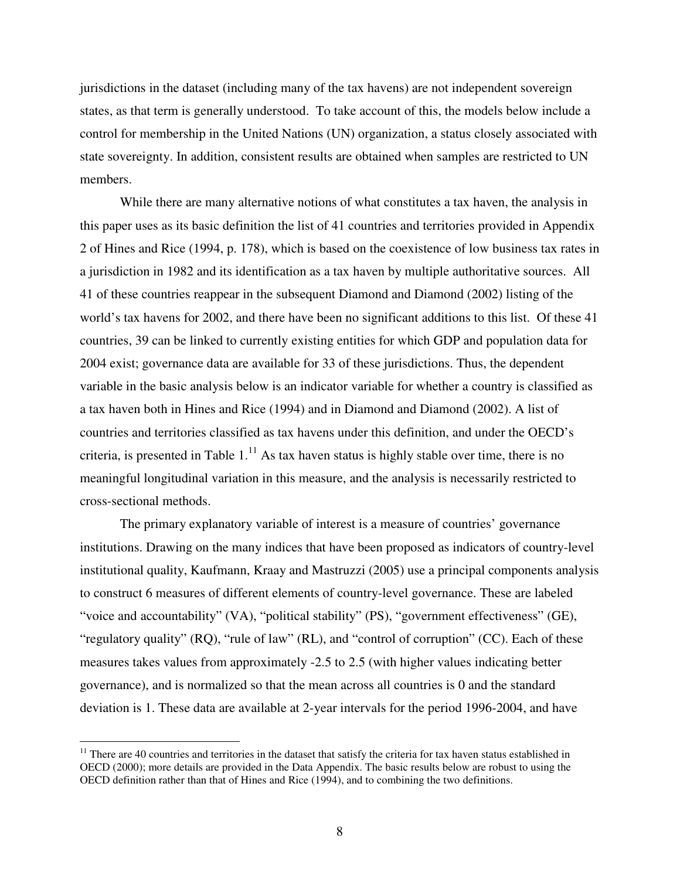jurisdictions in the dataset (including many of the tax havens) are not independent sovereign states, as that term is generally understood. To take account of this, the models below include a control for membership in the United Nations (UN) organization, a status closely associated with state sovereignty. In addition, consistent results are obtained when samples are restricted to UN members.

While there are many alternative notions of what constitutes a tax haven, the analysis in this paper uses as its basic definition the list of 41 countries and territories provided in Appendix 2 of Hines and Rice (1994, p. 178), which is based on the coexistence of low business tax rates in a jurisdiction in 1982 and its identification as a tax haven by multiple authoritative sources. All 41 of these countries reappear in the subsequent Diamond and Diamond (2002) listing of the world's tax havens for 2002, and there have been no significant additions to this list. Of these 41 countries, 39 can be linked to currently existing entities for which GDP and population data for 2004 exist; governance data are available for 33 of these jurisdictions. Thus, the dependent variable in the basic analysis below is an indicator variable for whether a country is classified as a tax haven both in Hines and Rice (1994) and in Diamond and Diamond (2002). A list of countries and territories classified as tax havens under this definition, and under the OECD's criteria, is presented in Table  $1<sup>11</sup>$  As tax haven status is highly stable over time, there is no meaningful longitudinal variation in this measure, and the analysis is necessarily restricted to cross-sectional methods.

The primary explanatory variable of interest is a measure of countries' governance institutions. Drawing on the many indices that have been proposed as indicators of country-level institutional quality, Kaufmann, Kraay and Mastruzzi (2005) use a principal components analysis to construct 6 measures of different elements of country-level governance. These are labeled "voice and accountability" (VA), "political stability" (PS), "government effectiveness" (GE), "regulatory quality" (RQ), "rule of law" (RL), and "control of corruption" (CC). Each of these measures takes values from approximately -2.5 to 2.5 (with higher values indicating better governance), and is normalized so that the mean across all countries is 0 and the standard deviation is 1. These data are available at 2-year intervals for the period 1996-2004, and have

 $11$  There are 40 countries and territories in the dataset that satisfy the criteria for tax haven status established in OECD (2000); more details are provided in the Data Appendix. The basic results below are robust to using the OECD definition rather than that of Hines and Rice (1994), and to combining the two definitions.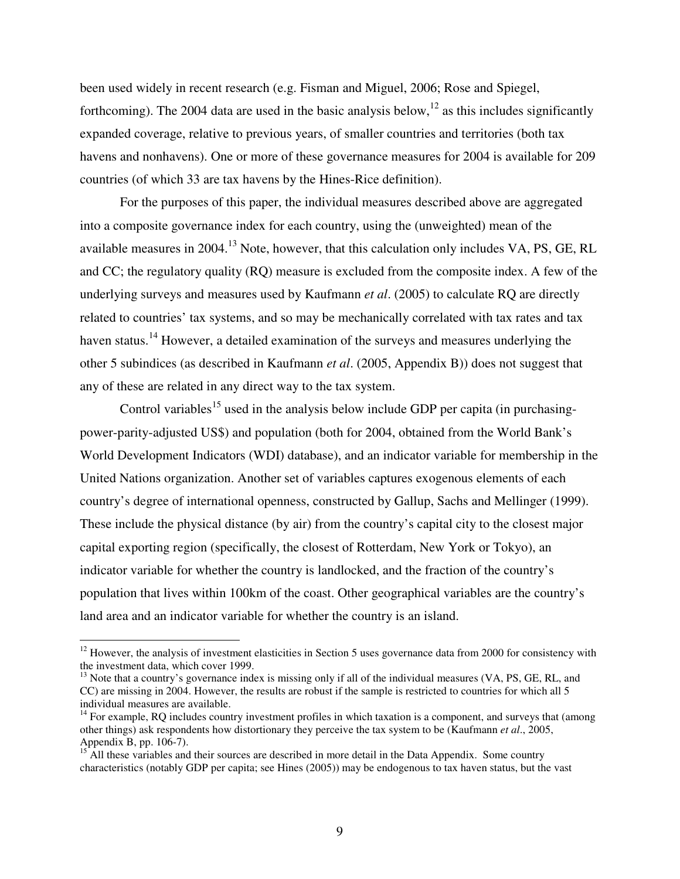been used widely in recent research (e.g. Fisman and Miguel, 2006; Rose and Spiegel, forthcoming). The 2004 data are used in the basic analysis below,  $12$  as this includes significantly expanded coverage, relative to previous years, of smaller countries and territories (both tax havens and nonhavens). One or more of these governance measures for 2004 is available for 209 countries (of which 33 are tax havens by the Hines-Rice definition).

For the purposes of this paper, the individual measures described above are aggregated into a composite governance index for each country, using the (unweighted) mean of the available measures in 2004.<sup>13</sup> Note, however, that this calculation only includes VA, PS, GE, RL and CC; the regulatory quality (RQ) measure is excluded from the composite index. A few of the underlying surveys and measures used by Kaufmann *et al*. (2005) to calculate RQ are directly related to countries' tax systems, and so may be mechanically correlated with tax rates and tax haven status.<sup>14</sup> However, a detailed examination of the surveys and measures underlying the other 5 subindices (as described in Kaufmann *et al*. (2005, Appendix B)) does not suggest that any of these are related in any direct way to the tax system.

Control variables<sup>15</sup> used in the analysis below include GDP per capita (in purchasingpower-parity-adjusted US\$) and population (both for 2004, obtained from the World Bank's World Development Indicators (WDI) database), and an indicator variable for membership in the United Nations organization. Another set of variables captures exogenous elements of each country's degree of international openness, constructed by Gallup, Sachs and Mellinger (1999). These include the physical distance (by air) from the country's capital city to the closest major capital exporting region (specifically, the closest of Rotterdam, New York or Tokyo), an indicator variable for whether the country is landlocked, and the fraction of the country's population that lives within 100km of the coast. Other geographical variables are the country's land area and an indicator variable for whether the country is an island.

 $12$  However, the analysis of investment elasticities in Section 5 uses governance data from 2000 for consistency with the investment data, which cover 1999.

 $13$  Note that a country's governance index is missing only if all of the individual measures (VA, PS, GE, RL, and CC) are missing in 2004. However, the results are robust if the sample is restricted to countries for which all 5 individual measures are available.

<sup>&</sup>lt;sup>14</sup> For example, RQ includes country investment profiles in which taxation is a component, and surveys that (among other things) ask respondents how distortionary they perceive the tax system to be (Kaufmann *et al*., 2005, Appendix B, pp. 106-7).

<sup>&</sup>lt;sup>15</sup> All these variables and their sources are described in more detail in the Data Appendix. Some country characteristics (notably GDP per capita; see Hines (2005)) may be endogenous to tax haven status, but the vast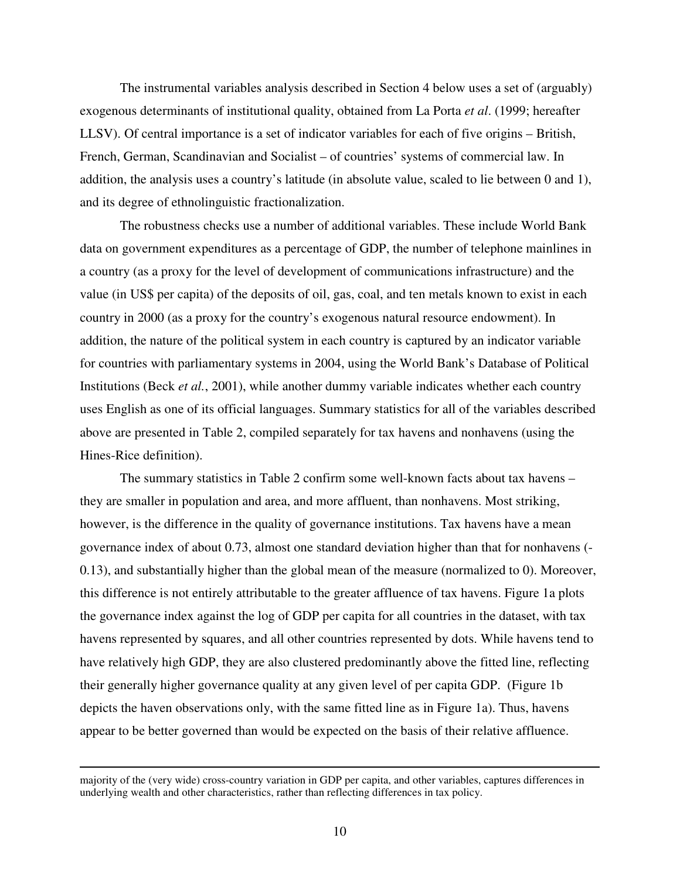The instrumental variables analysis described in Section 4 below uses a set of (arguably) exogenous determinants of institutional quality, obtained from La Porta *et al*. (1999; hereafter LLSV). Of central importance is a set of indicator variables for each of five origins – British, French, German, Scandinavian and Socialist – of countries' systems of commercial law. In addition, the analysis uses a country's latitude (in absolute value, scaled to lie between 0 and 1), and its degree of ethnolinguistic fractionalization.

The robustness checks use a number of additional variables. These include World Bank data on government expenditures as a percentage of GDP, the number of telephone mainlines in a country (as a proxy for the level of development of communications infrastructure) and the value (in US\$ per capita) of the deposits of oil, gas, coal, and ten metals known to exist in each country in 2000 (as a proxy for the country's exogenous natural resource endowment). In addition, the nature of the political system in each country is captured by an indicator variable for countries with parliamentary systems in 2004, using the World Bank's Database of Political Institutions (Beck *et al.*, 2001), while another dummy variable indicates whether each country uses English as one of its official languages. Summary statistics for all of the variables described above are presented in Table 2, compiled separately for tax havens and nonhavens (using the Hines-Rice definition).

The summary statistics in Table 2 confirm some well-known facts about tax havens – they are smaller in population and area, and more affluent, than nonhavens. Most striking, however, is the difference in the quality of governance institutions. Tax havens have a mean governance index of about 0.73, almost one standard deviation higher than that for nonhavens (- 0.13), and substantially higher than the global mean of the measure (normalized to 0). Moreover, this difference is not entirely attributable to the greater affluence of tax havens. Figure 1a plots the governance index against the log of GDP per capita for all countries in the dataset, with tax havens represented by squares, and all other countries represented by dots. While havens tend to have relatively high GDP, they are also clustered predominantly above the fitted line, reflecting their generally higher governance quality at any given level of per capita GDP. (Figure 1b depicts the haven observations only, with the same fitted line as in Figure 1a). Thus, havens appear to be better governed than would be expected on the basis of their relative affluence.

majority of the (very wide) cross-country variation in GDP per capita, and other variables, captures differences in underlying wealth and other characteristics, rather than reflecting differences in tax policy.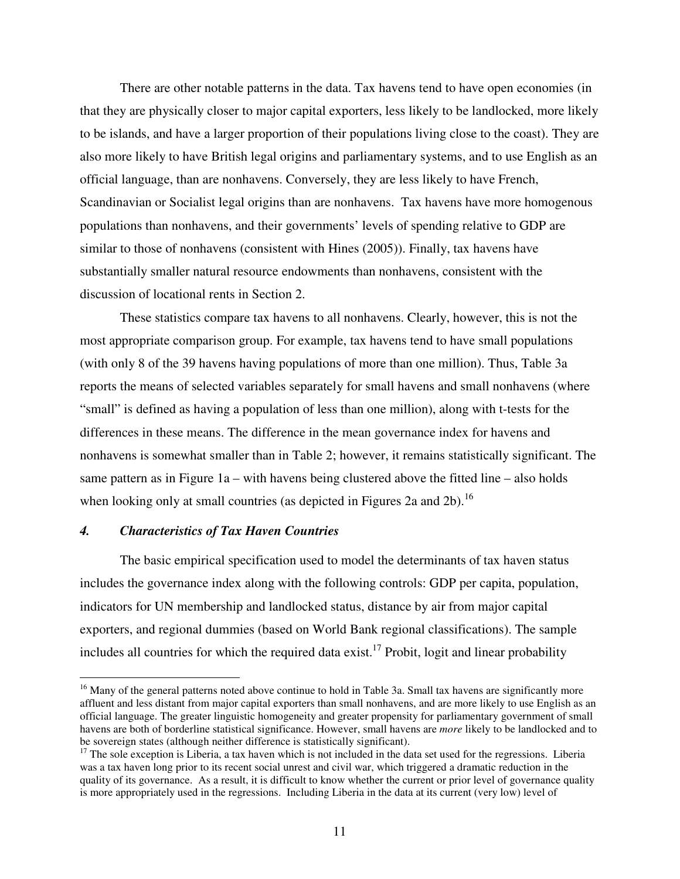There are other notable patterns in the data. Tax havens tend to have open economies (in that they are physically closer to major capital exporters, less likely to be landlocked, more likely to be islands, and have a larger proportion of their populations living close to the coast). They are also more likely to have British legal origins and parliamentary systems, and to use English as an official language, than are nonhavens. Conversely, they are less likely to have French, Scandinavian or Socialist legal origins than are nonhavens. Tax havens have more homogenous populations than nonhavens, and their governments' levels of spending relative to GDP are similar to those of nonhavens (consistent with Hines (2005)). Finally, tax havens have substantially smaller natural resource endowments than nonhavens, consistent with the discussion of locational rents in Section 2.

These statistics compare tax havens to all nonhavens. Clearly, however, this is not the most appropriate comparison group. For example, tax havens tend to have small populations (with only 8 of the 39 havens having populations of more than one million). Thus, Table 3a reports the means of selected variables separately for small havens and small nonhavens (where "small" is defined as having a population of less than one million), along with t-tests for the differences in these means. The difference in the mean governance index for havens and nonhavens is somewhat smaller than in Table 2; however, it remains statistically significant. The same pattern as in Figure 1a – with havens being clustered above the fitted line – also holds when looking only at small countries (as depicted in Figures 2a and 2b).<sup>16</sup>

#### *4. Characteristics of Tax Haven Countries*

The basic empirical specification used to model the determinants of tax haven status includes the governance index along with the following controls: GDP per capita, population, indicators for UN membership and landlocked status, distance by air from major capital exporters, and regional dummies (based on World Bank regional classifications). The sample includes all countries for which the required data exist.<sup>17</sup> Probit, logit and linear probability

<sup>&</sup>lt;sup>16</sup> Many of the general patterns noted above continue to hold in Table 3a. Small tax havens are significantly more affluent and less distant from major capital exporters than small nonhavens, and are more likely to use English as an official language. The greater linguistic homogeneity and greater propensity for parliamentary government of small havens are both of borderline statistical significance. However, small havens are *more* likely to be landlocked and to be sovereign states (although neither difference is statistically significant).

 $17$  The sole exception is Liberia, a tax haven which is not included in the data set used for the regressions. Liberia was a tax haven long prior to its recent social unrest and civil war, which triggered a dramatic reduction in the quality of its governance. As a result, it is difficult to know whether the current or prior level of governance quality is more appropriately used in the regressions. Including Liberia in the data at its current (very low) level of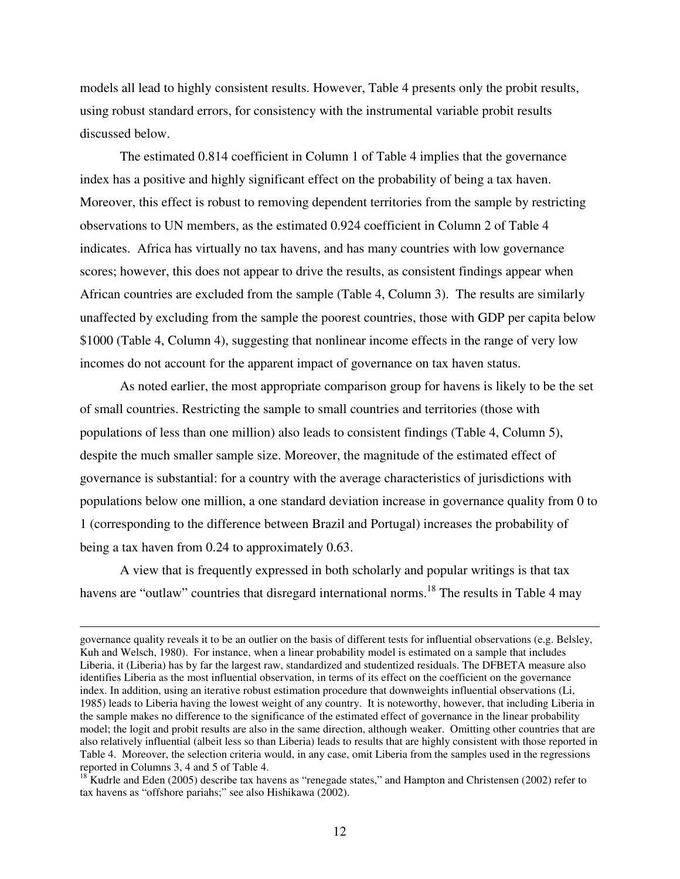models all lead to highly consistent results. However, Table 4 presents only the probit results, using robust standard errors, for consistency with the instrumental variable probit results discussed below.

The estimated 0.814 coefficient in Column 1 of Table 4 implies that the governance index has a positive and highly significant effect on the probability of being a tax haven. Moreover, this effect is robust to removing dependent territories from the sample by restricting observations to UN members, as the estimated 0.924 coefficient in Column 2 of Table 4 indicates. Africa has virtually no tax havens, and has many countries with low governance scores; however, this does not appear to drive the results, as consistent findings appear when African countries are excluded from the sample (Table 4, Column 3). The results are similarly unaffected by excluding from the sample the poorest countries, those with GDP per capita below \$1000 (Table 4, Column 4), suggesting that nonlinear income effects in the range of very low incomes do not account for the apparent impact of governance on tax haven status.

As noted earlier, the most appropriate comparison group for havens is likely to be the set of small countries. Restricting the sample to small countries and territories (those with populations of less than one million) also leads to consistent findings (Table 4, Column 5), despite the much smaller sample size. Moreover, the magnitude of the estimated effect of governance is substantial: for a country with the average characteristics of jurisdictions with populations below one million, a one standard deviation increase in governance quality from 0 to 1 (corresponding to the difference between Brazil and Portugal) increases the probability of being a tax haven from 0.24 to approximately 0.63.

A view that is frequently expressed in both scholarly and popular writings is that tax havens are "outlaw" countries that disregard international norms.<sup>18</sup> The results in Table 4 may

governance quality reveals it to be an outlier on the basis of different tests for influential observations (e.g. Belsley, Kuh and Welsch, 1980). For instance, when a linear probability model is estimated on a sample that includes Liberia, it (Liberia) has by far the largest raw, standardized and studentized residuals. The DFBETA measure also identifies Liberia as the most influential observation, in terms of its effect on the coefficient on the governance index. In addition, using an iterative robust estimation procedure that downweights influential observations (Li, 1985) leads to Liberia having the lowest weight of any country. It is noteworthy, however, that including Liberia in the sample makes no difference to the significance of the estimated effect of governance in the linear probability model; the logit and probit results are also in the same direction, although weaker. Omitting other countries that are also relatively influential (albeit less so than Liberia) leads to results that are highly consistent with those reported in Table 4. Moreover, the selection criteria would, in any case, omit Liberia from the samples used in the regressions reported in Columns 3, 4 and 5 of Table 4.

<sup>&</sup>lt;sup>18</sup> Kudrle and Eden (2005) describe tax havens as "renegade states," and Hampton and Christensen (2002) refer to tax havens as "offshore pariahs;" see also Hishikawa (2002).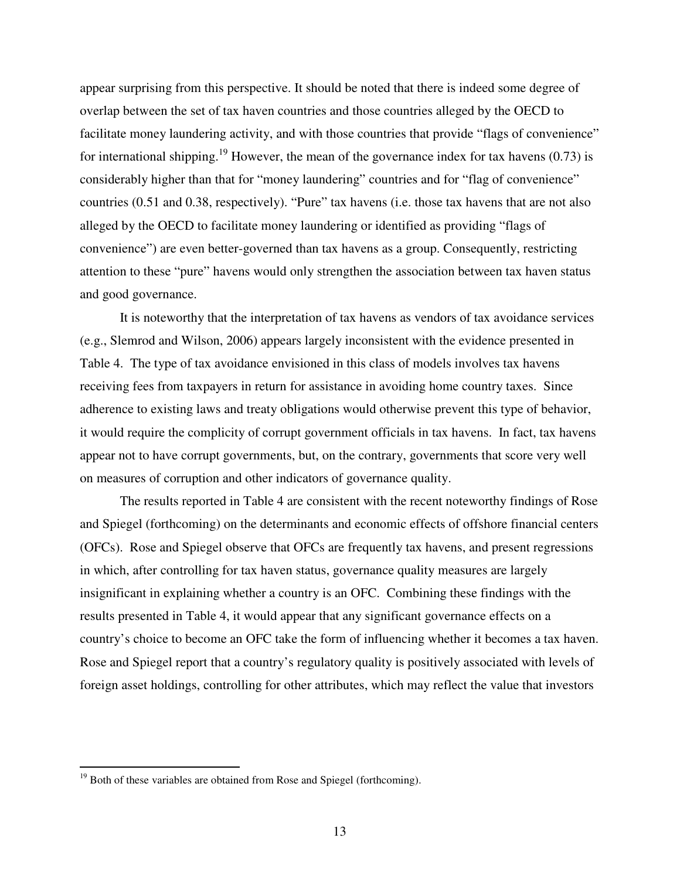appear surprising from this perspective. It should be noted that there is indeed some degree of overlap between the set of tax haven countries and those countries alleged by the OECD to facilitate money laundering activity, and with those countries that provide "flags of convenience" for international shipping.<sup>19</sup> However, the mean of the governance index for tax havens  $(0.73)$  is considerably higher than that for "money laundering" countries and for "flag of convenience" countries (0.51 and 0.38, respectively). "Pure" tax havens (i.e. those tax havens that are not also alleged by the OECD to facilitate money laundering or identified as providing "flags of convenience") are even better-governed than tax havens as a group. Consequently, restricting attention to these "pure" havens would only strengthen the association between tax haven status and good governance.

It is noteworthy that the interpretation of tax havens as vendors of tax avoidance services (e.g., Slemrod and Wilson, 2006) appears largely inconsistent with the evidence presented in Table 4. The type of tax avoidance envisioned in this class of models involves tax havens receiving fees from taxpayers in return for assistance in avoiding home country taxes. Since adherence to existing laws and treaty obligations would otherwise prevent this type of behavior, it would require the complicity of corrupt government officials in tax havens. In fact, tax havens appear not to have corrupt governments, but, on the contrary, governments that score very well on measures of corruption and other indicators of governance quality.

The results reported in Table 4 are consistent with the recent noteworthy findings of Rose and Spiegel (forthcoming) on the determinants and economic effects of offshore financial centers (OFCs). Rose and Spiegel observe that OFCs are frequently tax havens, and present regressions in which, after controlling for tax haven status, governance quality measures are largely insignificant in explaining whether a country is an OFC. Combining these findings with the results presented in Table 4, it would appear that any significant governance effects on a country's choice to become an OFC take the form of influencing whether it becomes a tax haven. Rose and Spiegel report that a country's regulatory quality is positively associated with levels of foreign asset holdings, controlling for other attributes, which may reflect the value that investors

 $19$  Both of these variables are obtained from Rose and Spiegel (forthcoming).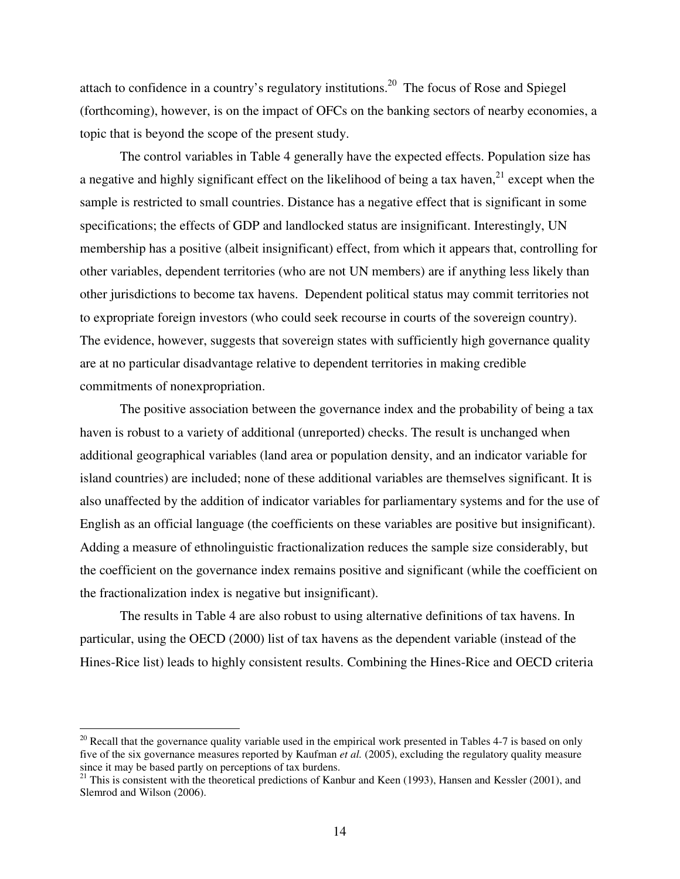attach to confidence in a country's regulatory institutions.<sup>20</sup> The focus of Rose and Spiegel (forthcoming), however, is on the impact of OFCs on the banking sectors of nearby economies, a topic that is beyond the scope of the present study.

The control variables in Table 4 generally have the expected effects. Population size has a negative and highly significant effect on the likelihood of being a tax haven, $^{21}$  except when the sample is restricted to small countries. Distance has a negative effect that is significant in some specifications; the effects of GDP and landlocked status are insignificant. Interestingly, UN membership has a positive (albeit insignificant) effect, from which it appears that, controlling for other variables, dependent territories (who are not UN members) are if anything less likely than other jurisdictions to become tax havens. Dependent political status may commit territories not to expropriate foreign investors (who could seek recourse in courts of the sovereign country). The evidence, however, suggests that sovereign states with sufficiently high governance quality are at no particular disadvantage relative to dependent territories in making credible commitments of nonexpropriation.

The positive association between the governance index and the probability of being a tax haven is robust to a variety of additional (unreported) checks. The result is unchanged when additional geographical variables (land area or population density, and an indicator variable for island countries) are included; none of these additional variables are themselves significant. It is also unaffected by the addition of indicator variables for parliamentary systems and for the use of English as an official language (the coefficients on these variables are positive but insignificant). Adding a measure of ethnolinguistic fractionalization reduces the sample size considerably, but the coefficient on the governance index remains positive and significant (while the coefficient on the fractionalization index is negative but insignificant).

The results in Table 4 are also robust to using alternative definitions of tax havens. In particular, using the OECD (2000) list of tax havens as the dependent variable (instead of the Hines-Rice list) leads to highly consistent results. Combining the Hines-Rice and OECD criteria

 $20$  Recall that the governance quality variable used in the empirical work presented in Tables 4-7 is based on only five of the six governance measures reported by Kaufman *et al.* (2005), excluding the regulatory quality measure since it may be based partly on perceptions of tax burdens.

<sup>&</sup>lt;sup>21</sup> This is consistent with the theoretical predictions of Kanbur and Keen (1993), Hansen and Kessler (2001), and Slemrod and Wilson (2006).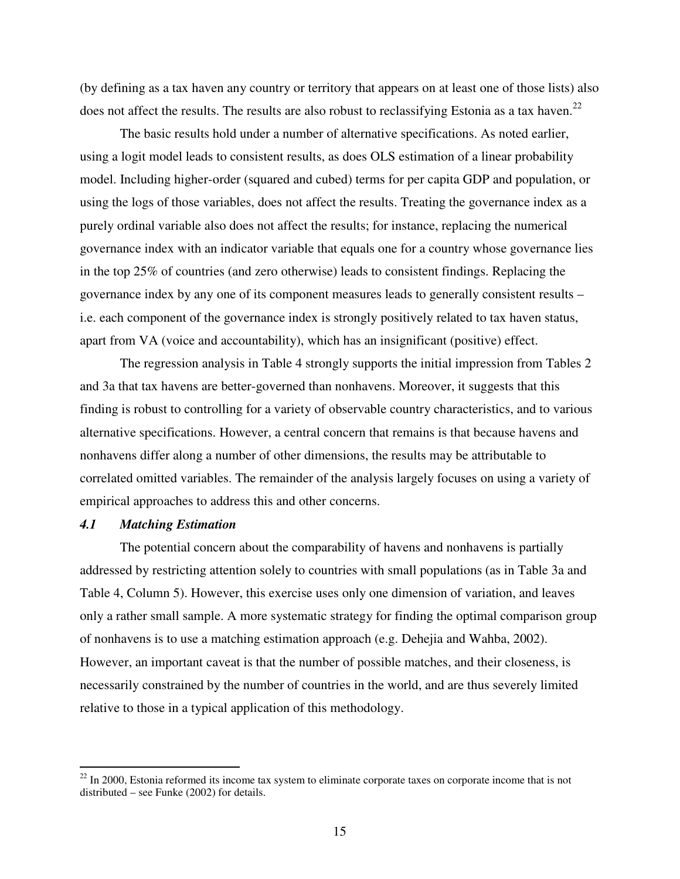(by defining as a tax haven any country or territory that appears on at least one of those lists) also does not affect the results. The results are also robust to reclassifying Estonia as a tax haven.<sup>22</sup>

The basic results hold under a number of alternative specifications. As noted earlier, using a logit model leads to consistent results, as does OLS estimation of a linear probability model. Including higher-order (squared and cubed) terms for per capita GDP and population, or using the logs of those variables, does not affect the results. Treating the governance index as a purely ordinal variable also does not affect the results; for instance, replacing the numerical governance index with an indicator variable that equals one for a country whose governance lies in the top 25% of countries (and zero otherwise) leads to consistent findings. Replacing the governance index by any one of its component measures leads to generally consistent results – i.e. each component of the governance index is strongly positively related to tax haven status, apart from VA (voice and accountability), which has an insignificant (positive) effect.

The regression analysis in Table 4 strongly supports the initial impression from Tables 2 and 3a that tax havens are better-governed than nonhavens. Moreover, it suggests that this finding is robust to controlling for a variety of observable country characteristics, and to various alternative specifications. However, a central concern that remains is that because havens and nonhavens differ along a number of other dimensions, the results may be attributable to correlated omitted variables. The remainder of the analysis largely focuses on using a variety of empirical approaches to address this and other concerns.

#### *4.1 Matching Estimation*

The potential concern about the comparability of havens and nonhavens is partially addressed by restricting attention solely to countries with small populations (as in Table 3a and Table 4, Column 5). However, this exercise uses only one dimension of variation, and leaves only a rather small sample. A more systematic strategy for finding the optimal comparison group of nonhavens is to use a matching estimation approach (e.g. Dehejia and Wahba, 2002). However, an important caveat is that the number of possible matches, and their closeness, is necessarily constrained by the number of countries in the world, and are thus severely limited relative to those in a typical application of this methodology.

 $22$  In 2000, Estonia reformed its income tax system to eliminate corporate taxes on corporate income that is not distributed – see Funke (2002) for details.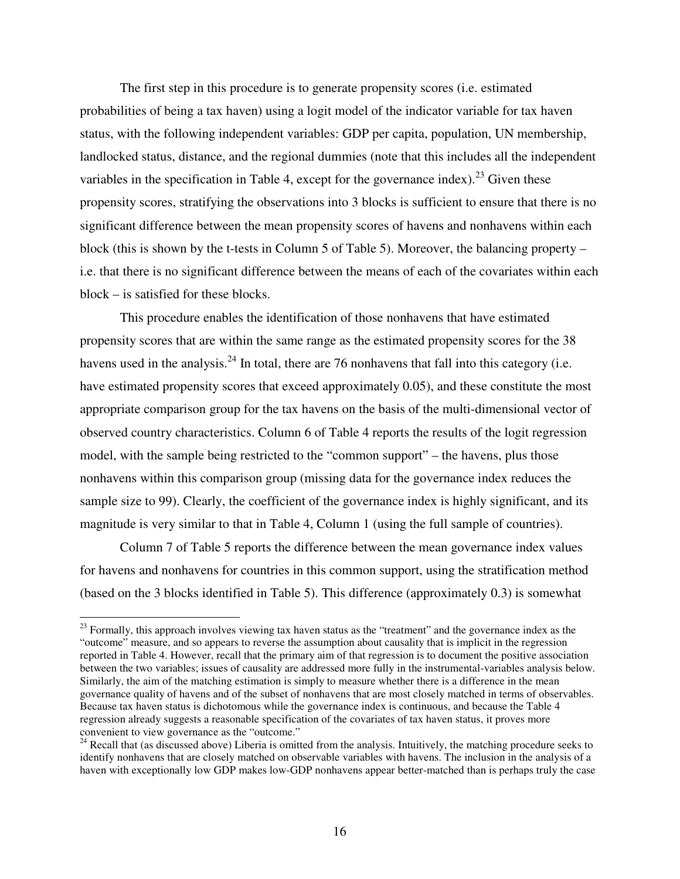The first step in this procedure is to generate propensity scores (i.e. estimated probabilities of being a tax haven) using a logit model of the indicator variable for tax haven status, with the following independent variables: GDP per capita, population, UN membership, landlocked status, distance, and the regional dummies (note that this includes all the independent variables in the specification in Table 4, except for the governance index).<sup>23</sup> Given these propensity scores, stratifying the observations into 3 blocks is sufficient to ensure that there is no significant difference between the mean propensity scores of havens and nonhavens within each block (this is shown by the t-tests in Column 5 of Table 5). Moreover, the balancing property – i.e. that there is no significant difference between the means of each of the covariates within each block – is satisfied for these blocks.

This procedure enables the identification of those nonhavens that have estimated propensity scores that are within the same range as the estimated propensity scores for the 38 havens used in the analysis.<sup>24</sup> In total, there are 76 nonhavens that fall into this category (i.e. have estimated propensity scores that exceed approximately 0.05), and these constitute the most appropriate comparison group for the tax havens on the basis of the multi-dimensional vector of observed country characteristics. Column 6 of Table 4 reports the results of the logit regression model, with the sample being restricted to the "common support" – the havens, plus those nonhavens within this comparison group (missing data for the governance index reduces the sample size to 99). Clearly, the coefficient of the governance index is highly significant, and its magnitude is very similar to that in Table 4, Column 1 (using the full sample of countries).

Column 7 of Table 5 reports the difference between the mean governance index values for havens and nonhavens for countries in this common support, using the stratification method (based on the 3 blocks identified in Table 5). This difference (approximately 0.3) is somewhat

 $2<sup>23</sup>$  Formally, this approach involves viewing tax haven status as the "treatment" and the governance index as the "outcome" measure, and so appears to reverse the assumption about causality that is implicit in the regression reported in Table 4. However, recall that the primary aim of that regression is to document the positive association between the two variables; issues of causality are addressed more fully in the instrumental-variables analysis below. Similarly, the aim of the matching estimation is simply to measure whether there is a difference in the mean governance quality of havens and of the subset of nonhavens that are most closely matched in terms of observables. Because tax haven status is dichotomous while the governance index is continuous, and because the Table 4 regression already suggests a reasonable specification of the covariates of tax haven status, it proves more convenient to view governance as the "outcome."

 $24$  Recall that (as discussed above) Liberia is omitted from the analysis. Intuitively, the matching procedure seeks to identify nonhavens that are closely matched on observable variables with havens. The inclusion in the analysis of a haven with exceptionally low GDP makes low-GDP nonhavens appear better-matched than is perhaps truly the case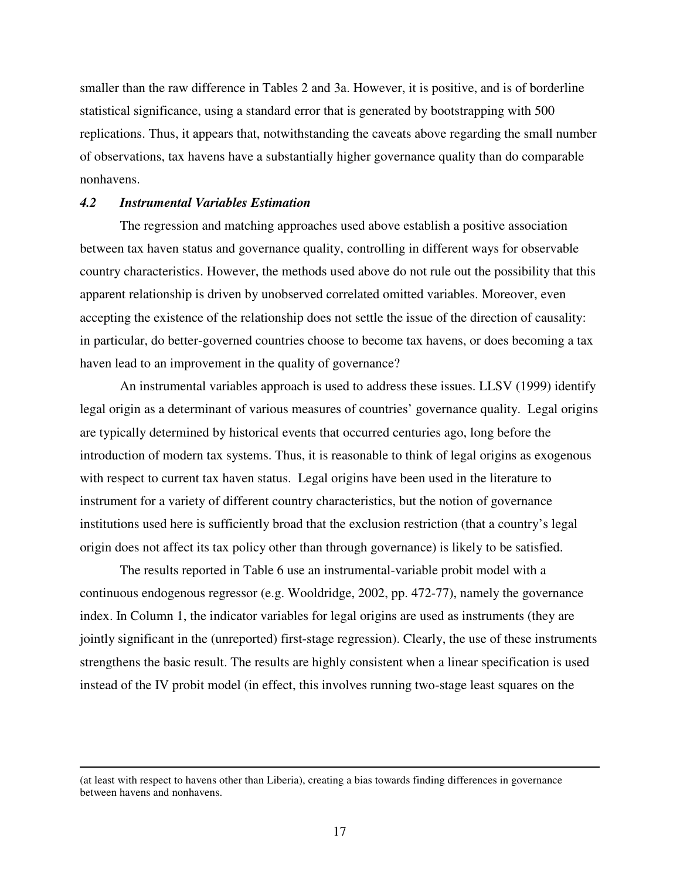smaller than the raw difference in Tables 2 and 3a. However, it is positive, and is of borderline statistical significance, using a standard error that is generated by bootstrapping with 500 replications. Thus, it appears that, notwithstanding the caveats above regarding the small number of observations, tax havens have a substantially higher governance quality than do comparable nonhavens.

#### *4.2 Instrumental Variables Estimation*

The regression and matching approaches used above establish a positive association between tax haven status and governance quality, controlling in different ways for observable country characteristics. However, the methods used above do not rule out the possibility that this apparent relationship is driven by unobserved correlated omitted variables. Moreover, even accepting the existence of the relationship does not settle the issue of the direction of causality: in particular, do better-governed countries choose to become tax havens, or does becoming a tax haven lead to an improvement in the quality of governance?

An instrumental variables approach is used to address these issues. LLSV (1999) identify legal origin as a determinant of various measures of countries' governance quality. Legal origins are typically determined by historical events that occurred centuries ago, long before the introduction of modern tax systems. Thus, it is reasonable to think of legal origins as exogenous with respect to current tax haven status. Legal origins have been used in the literature to instrument for a variety of different country characteristics, but the notion of governance institutions used here is sufficiently broad that the exclusion restriction (that a country's legal origin does not affect its tax policy other than through governance) is likely to be satisfied.

The results reported in Table 6 use an instrumental-variable probit model with a continuous endogenous regressor (e.g. Wooldridge, 2002, pp. 472-77), namely the governance index. In Column 1, the indicator variables for legal origins are used as instruments (they are jointly significant in the (unreported) first-stage regression). Clearly, the use of these instruments strengthens the basic result. The results are highly consistent when a linear specification is used instead of the IV probit model (in effect, this involves running two-stage least squares on the

<sup>(</sup>at least with respect to havens other than Liberia), creating a bias towards finding differences in governance between havens and nonhavens.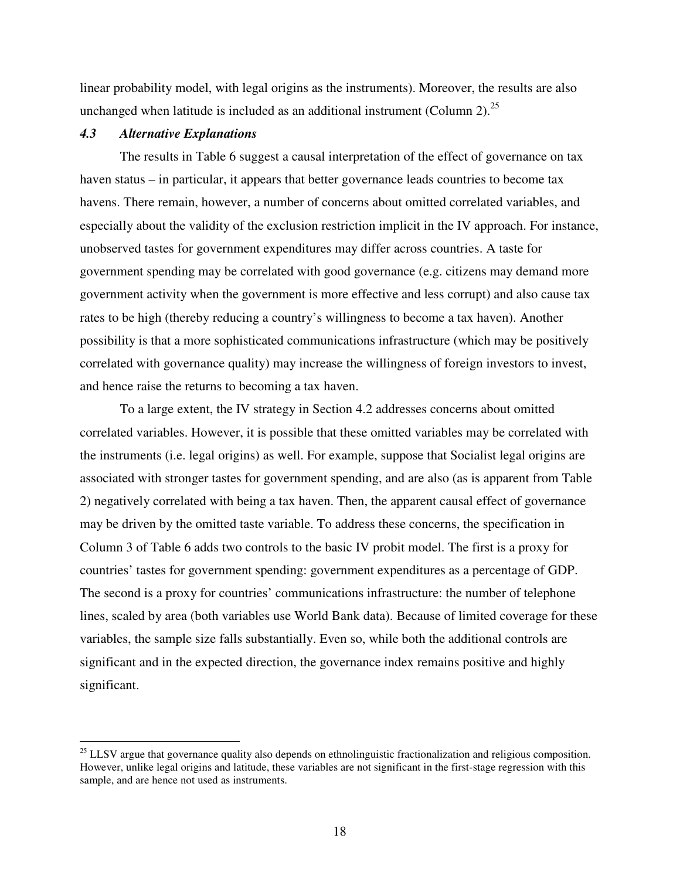linear probability model, with legal origins as the instruments). Moreover, the results are also unchanged when latitude is included as an additional instrument (Column 2).<sup>25</sup>

#### *4.3 Alternative Explanations*

The results in Table 6 suggest a causal interpretation of the effect of governance on tax haven status – in particular, it appears that better governance leads countries to become tax havens. There remain, however, a number of concerns about omitted correlated variables, and especially about the validity of the exclusion restriction implicit in the IV approach. For instance, unobserved tastes for government expenditures may differ across countries. A taste for government spending may be correlated with good governance (e.g. citizens may demand more government activity when the government is more effective and less corrupt) and also cause tax rates to be high (thereby reducing a country's willingness to become a tax haven). Another possibility is that a more sophisticated communications infrastructure (which may be positively correlated with governance quality) may increase the willingness of foreign investors to invest, and hence raise the returns to becoming a tax haven.

To a large extent, the IV strategy in Section 4.2 addresses concerns about omitted correlated variables. However, it is possible that these omitted variables may be correlated with the instruments (i.e. legal origins) as well. For example, suppose that Socialist legal origins are associated with stronger tastes for government spending, and are also (as is apparent from Table 2) negatively correlated with being a tax haven. Then, the apparent causal effect of governance may be driven by the omitted taste variable. To address these concerns, the specification in Column 3 of Table 6 adds two controls to the basic IV probit model. The first is a proxy for countries' tastes for government spending: government expenditures as a percentage of GDP. The second is a proxy for countries' communications infrastructure: the number of telephone lines, scaled by area (both variables use World Bank data). Because of limited coverage for these variables, the sample size falls substantially. Even so, while both the additional controls are significant and in the expected direction, the governance index remains positive and highly significant.

 $^{25}$  LLSV argue that governance quality also depends on ethnolinguistic fractionalization and religious composition. However, unlike legal origins and latitude, these variables are not significant in the first-stage regression with this sample, and are hence not used as instruments.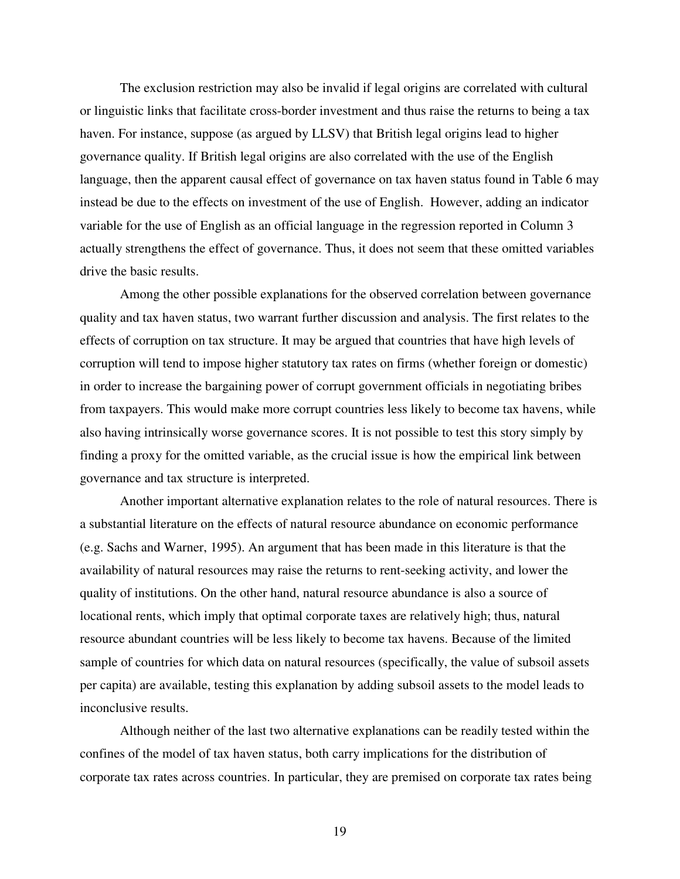The exclusion restriction may also be invalid if legal origins are correlated with cultural or linguistic links that facilitate cross-border investment and thus raise the returns to being a tax haven. For instance, suppose (as argued by LLSV) that British legal origins lead to higher governance quality. If British legal origins are also correlated with the use of the English language, then the apparent causal effect of governance on tax haven status found in Table 6 may instead be due to the effects on investment of the use of English. However, adding an indicator variable for the use of English as an official language in the regression reported in Column 3 actually strengthens the effect of governance. Thus, it does not seem that these omitted variables drive the basic results.

Among the other possible explanations for the observed correlation between governance quality and tax haven status, two warrant further discussion and analysis. The first relates to the effects of corruption on tax structure. It may be argued that countries that have high levels of corruption will tend to impose higher statutory tax rates on firms (whether foreign or domestic) in order to increase the bargaining power of corrupt government officials in negotiating bribes from taxpayers. This would make more corrupt countries less likely to become tax havens, while also having intrinsically worse governance scores. It is not possible to test this story simply by finding a proxy for the omitted variable, as the crucial issue is how the empirical link between governance and tax structure is interpreted.

Another important alternative explanation relates to the role of natural resources. There is a substantial literature on the effects of natural resource abundance on economic performance (e.g. Sachs and Warner, 1995). An argument that has been made in this literature is that the availability of natural resources may raise the returns to rent-seeking activity, and lower the quality of institutions. On the other hand, natural resource abundance is also a source of locational rents, which imply that optimal corporate taxes are relatively high; thus, natural resource abundant countries will be less likely to become tax havens. Because of the limited sample of countries for which data on natural resources (specifically, the value of subsoil assets per capita) are available, testing this explanation by adding subsoil assets to the model leads to inconclusive results.

Although neither of the last two alternative explanations can be readily tested within the confines of the model of tax haven status, both carry implications for the distribution of corporate tax rates across countries. In particular, they are premised on corporate tax rates being

19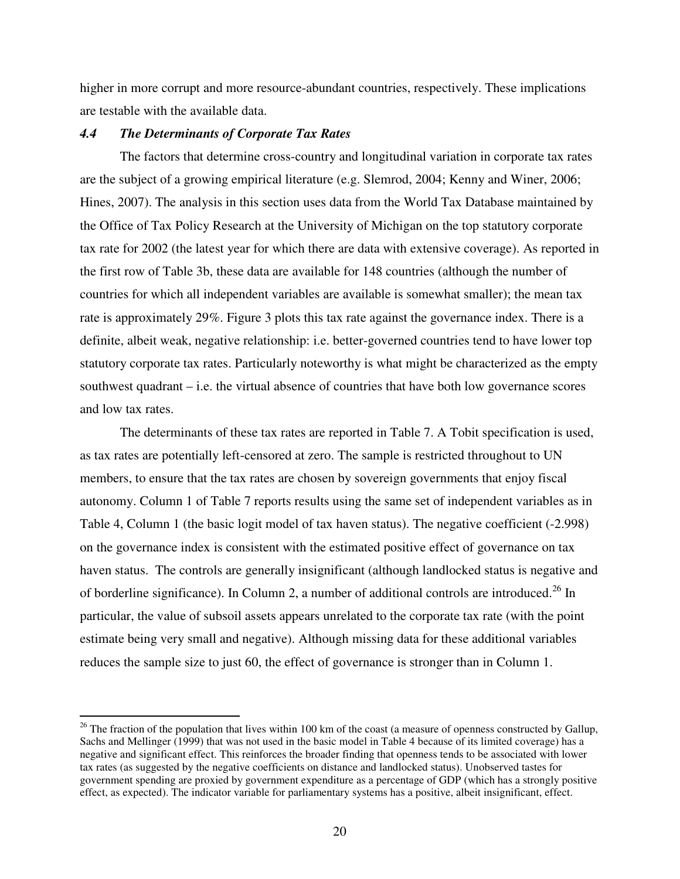higher in more corrupt and more resource-abundant countries, respectively. These implications are testable with the available data.

#### *4.4 The Determinants of Corporate Tax Rates*

The factors that determine cross-country and longitudinal variation in corporate tax rates are the subject of a growing empirical literature (e.g. Slemrod, 2004; Kenny and Winer, 2006; Hines, 2007). The analysis in this section uses data from the World Tax Database maintained by the Office of Tax Policy Research at the University of Michigan on the top statutory corporate tax rate for 2002 (the latest year for which there are data with extensive coverage). As reported in the first row of Table 3b, these data are available for 148 countries (although the number of countries for which all independent variables are available is somewhat smaller); the mean tax rate is approximately 29%. Figure 3 plots this tax rate against the governance index. There is a definite, albeit weak, negative relationship: i.e. better-governed countries tend to have lower top statutory corporate tax rates. Particularly noteworthy is what might be characterized as the empty southwest quadrant – i.e. the virtual absence of countries that have both low governance scores and low tax rates.

The determinants of these tax rates are reported in Table 7. A Tobit specification is used, as tax rates are potentially left-censored at zero. The sample is restricted throughout to UN members, to ensure that the tax rates are chosen by sovereign governments that enjoy fiscal autonomy. Column 1 of Table 7 reports results using the same set of independent variables as in Table 4, Column 1 (the basic logit model of tax haven status). The negative coefficient (-2.998) on the governance index is consistent with the estimated positive effect of governance on tax haven status. The controls are generally insignificant (although landlocked status is negative and of borderline significance). In Column 2, a number of additional controls are introduced.<sup>26</sup> In particular, the value of subsoil assets appears unrelated to the corporate tax rate (with the point estimate being very small and negative). Although missing data for these additional variables reduces the sample size to just 60, the effect of governance is stronger than in Column 1.

 $26$  The fraction of the population that lives within 100 km of the coast (a measure of openness constructed by Gallup, Sachs and Mellinger (1999) that was not used in the basic model in Table 4 because of its limited coverage) has a negative and significant effect. This reinforces the broader finding that openness tends to be associated with lower tax rates (as suggested by the negative coefficients on distance and landlocked status). Unobserved tastes for government spending are proxied by government expenditure as a percentage of GDP (which has a strongly positive effect, as expected). The indicator variable for parliamentary systems has a positive, albeit insignificant, effect.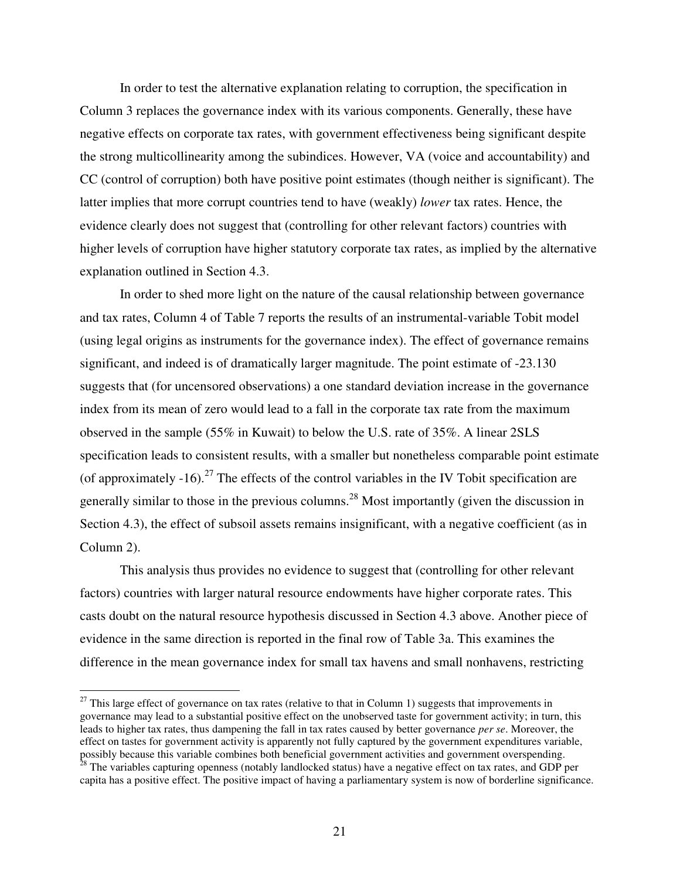In order to test the alternative explanation relating to corruption, the specification in Column 3 replaces the governance index with its various components. Generally, these have negative effects on corporate tax rates, with government effectiveness being significant despite the strong multicollinearity among the subindices. However, VA (voice and accountability) and CC (control of corruption) both have positive point estimates (though neither is significant). The latter implies that more corrupt countries tend to have (weakly) *lower* tax rates. Hence, the evidence clearly does not suggest that (controlling for other relevant factors) countries with higher levels of corruption have higher statutory corporate tax rates, as implied by the alternative explanation outlined in Section 4.3.

In order to shed more light on the nature of the causal relationship between governance and tax rates, Column 4 of Table 7 reports the results of an instrumental-variable Tobit model (using legal origins as instruments for the governance index). The effect of governance remains significant, and indeed is of dramatically larger magnitude. The point estimate of -23.130 suggests that (for uncensored observations) a one standard deviation increase in the governance index from its mean of zero would lead to a fall in the corporate tax rate from the maximum observed in the sample (55% in Kuwait) to below the U.S. rate of 35%. A linear 2SLS specification leads to consistent results, with a smaller but nonetheless comparable point estimate (of approximately  $-16$ ).<sup>27</sup> The effects of the control variables in the IV Tobit specification are generally similar to those in the previous columns.<sup>28</sup> Most importantly (given the discussion in Section 4.3), the effect of subsoil assets remains insignificant, with a negative coefficient (as in Column 2).

This analysis thus provides no evidence to suggest that (controlling for other relevant factors) countries with larger natural resource endowments have higher corporate rates. This casts doubt on the natural resource hypothesis discussed in Section 4.3 above. Another piece of evidence in the same direction is reported in the final row of Table 3a. This examines the difference in the mean governance index for small tax havens and small nonhavens, restricting

 $27$  This large effect of governance on tax rates (relative to that in Column 1) suggests that improvements in governance may lead to a substantial positive effect on the unobserved taste for government activity; in turn, this leads to higher tax rates, thus dampening the fall in tax rates caused by better governance *per se*. Moreover, the effect on tastes for government activity is apparently not fully captured by the government expenditures variable, possibly because this variable combines both beneficial government activities and government overspending. <sup>28</sup> The variables capturing openness (notably landlocked status) have a negative effect on tax rates, and GDP per capita has a positive effect. The positive impact of having a parliamentary system is now of borderline significance.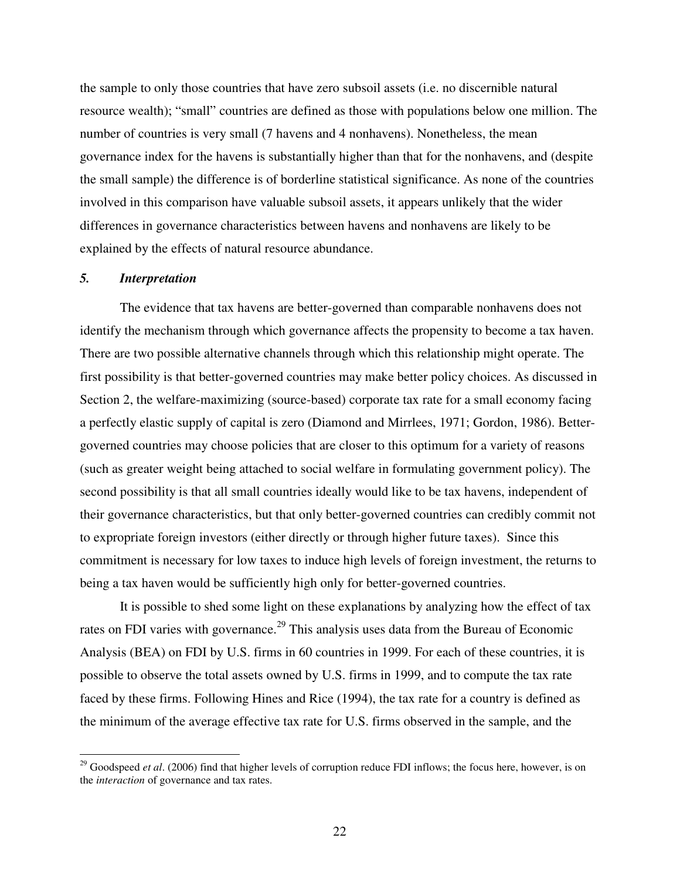the sample to only those countries that have zero subsoil assets (i.e. no discernible natural resource wealth); "small" countries are defined as those with populations below one million. The number of countries is very small (7 havens and 4 nonhavens). Nonetheless, the mean governance index for the havens is substantially higher than that for the nonhavens, and (despite the small sample) the difference is of borderline statistical significance. As none of the countries involved in this comparison have valuable subsoil assets, it appears unlikely that the wider differences in governance characteristics between havens and nonhavens are likely to be explained by the effects of natural resource abundance.

#### *5. Interpretation*

The evidence that tax havens are better-governed than comparable nonhavens does not identify the mechanism through which governance affects the propensity to become a tax haven. There are two possible alternative channels through which this relationship might operate. The first possibility is that better-governed countries may make better policy choices. As discussed in Section 2, the welfare-maximizing (source-based) corporate tax rate for a small economy facing a perfectly elastic supply of capital is zero (Diamond and Mirrlees, 1971; Gordon, 1986). Bettergoverned countries may choose policies that are closer to this optimum for a variety of reasons (such as greater weight being attached to social welfare in formulating government policy). The second possibility is that all small countries ideally would like to be tax havens, independent of their governance characteristics, but that only better-governed countries can credibly commit not to expropriate foreign investors (either directly or through higher future taxes). Since this commitment is necessary for low taxes to induce high levels of foreign investment, the returns to being a tax haven would be sufficiently high only for better-governed countries.

It is possible to shed some light on these explanations by analyzing how the effect of tax rates on FDI varies with governance.<sup>29</sup> This analysis uses data from the Bureau of Economic Analysis (BEA) on FDI by U.S. firms in 60 countries in 1999. For each of these countries, it is possible to observe the total assets owned by U.S. firms in 1999, and to compute the tax rate faced by these firms. Following Hines and Rice (1994), the tax rate for a country is defined as the minimum of the average effective tax rate for U.S. firms observed in the sample, and the

<sup>&</sup>lt;sup>29</sup> Goodspeed *et al.* (2006) find that higher levels of corruption reduce FDI inflows; the focus here, however, is on the *interaction* of governance and tax rates.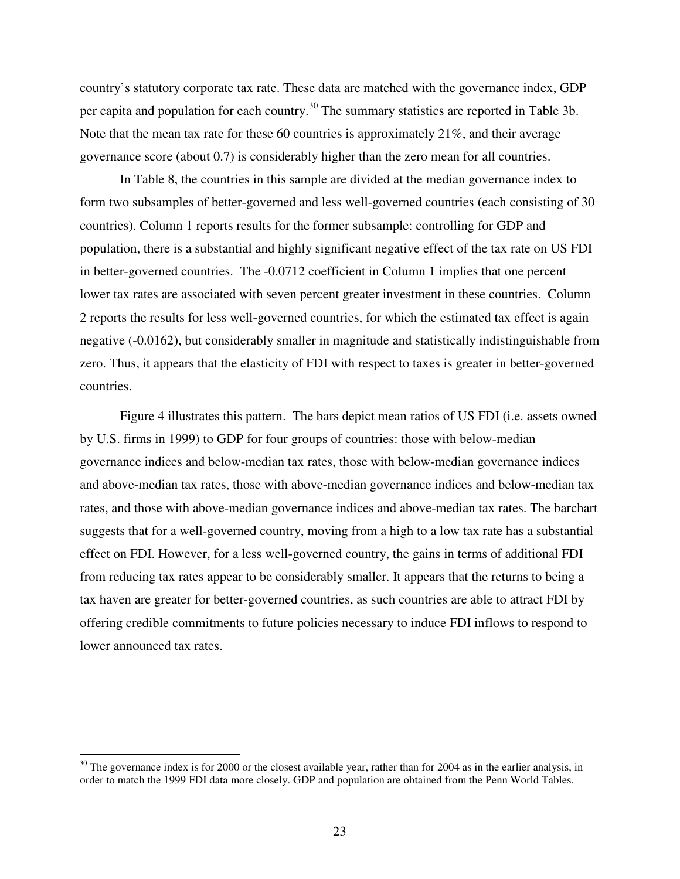country's statutory corporate tax rate. These data are matched with the governance index, GDP per capita and population for each country.<sup>30</sup> The summary statistics are reported in Table 3b. Note that the mean tax rate for these 60 countries is approximately 21%, and their average governance score (about 0.7) is considerably higher than the zero mean for all countries.

In Table 8, the countries in this sample are divided at the median governance index to form two subsamples of better-governed and less well-governed countries (each consisting of 30 countries). Column 1 reports results for the former subsample: controlling for GDP and population, there is a substantial and highly significant negative effect of the tax rate on US FDI in better-governed countries. The -0.0712 coefficient in Column 1 implies that one percent lower tax rates are associated with seven percent greater investment in these countries. Column 2 reports the results for less well-governed countries, for which the estimated tax effect is again negative (-0.0162), but considerably smaller in magnitude and statistically indistinguishable from zero. Thus, it appears that the elasticity of FDI with respect to taxes is greater in better-governed countries.

Figure 4 illustrates this pattern. The bars depict mean ratios of US FDI (i.e. assets owned by U.S. firms in 1999) to GDP for four groups of countries: those with below-median governance indices and below-median tax rates, those with below-median governance indices and above-median tax rates, those with above-median governance indices and below-median tax rates, and those with above-median governance indices and above-median tax rates. The barchart suggests that for a well-governed country, moving from a high to a low tax rate has a substantial effect on FDI. However, for a less well-governed country, the gains in terms of additional FDI from reducing tax rates appear to be considerably smaller. It appears that the returns to being a tax haven are greater for better-governed countries, as such countries are able to attract FDI by offering credible commitments to future policies necessary to induce FDI inflows to respond to lower announced tax rates.

 $30$  The governance index is for 2000 or the closest available year, rather than for 2004 as in the earlier analysis, in order to match the 1999 FDI data more closely. GDP and population are obtained from the Penn World Tables.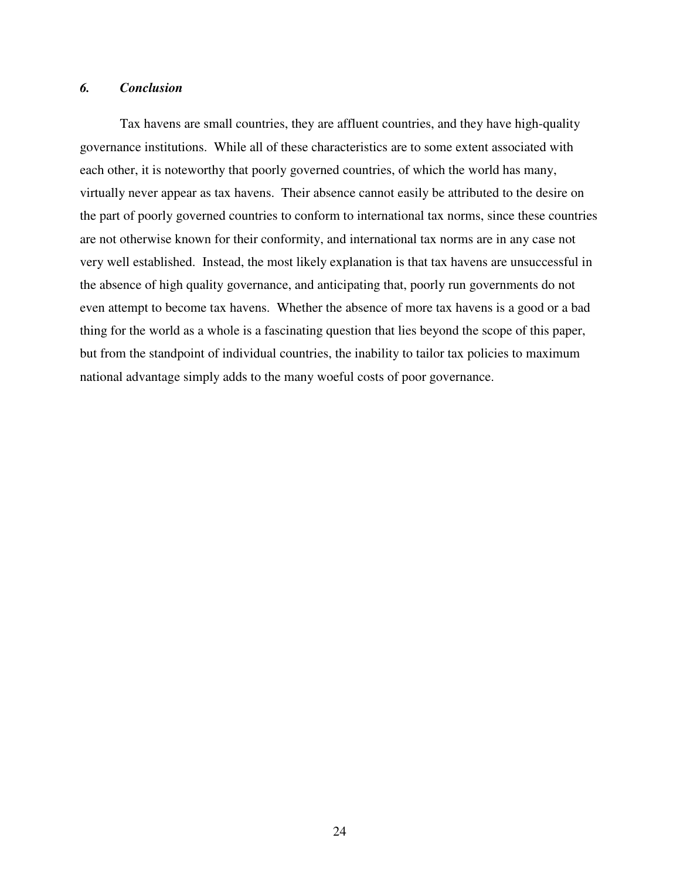### *6. Conclusion*

Tax havens are small countries, they are affluent countries, and they have high-quality governance institutions. While all of these characteristics are to some extent associated with each other, it is noteworthy that poorly governed countries, of which the world has many, virtually never appear as tax havens. Their absence cannot easily be attributed to the desire on the part of poorly governed countries to conform to international tax norms, since these countries are not otherwise known for their conformity, and international tax norms are in any case not very well established. Instead, the most likely explanation is that tax havens are unsuccessful in the absence of high quality governance, and anticipating that, poorly run governments do not even attempt to become tax havens. Whether the absence of more tax havens is a good or a bad thing for the world as a whole is a fascinating question that lies beyond the scope of this paper, but from the standpoint of individual countries, the inability to tailor tax policies to maximum national advantage simply adds to the many woeful costs of poor governance.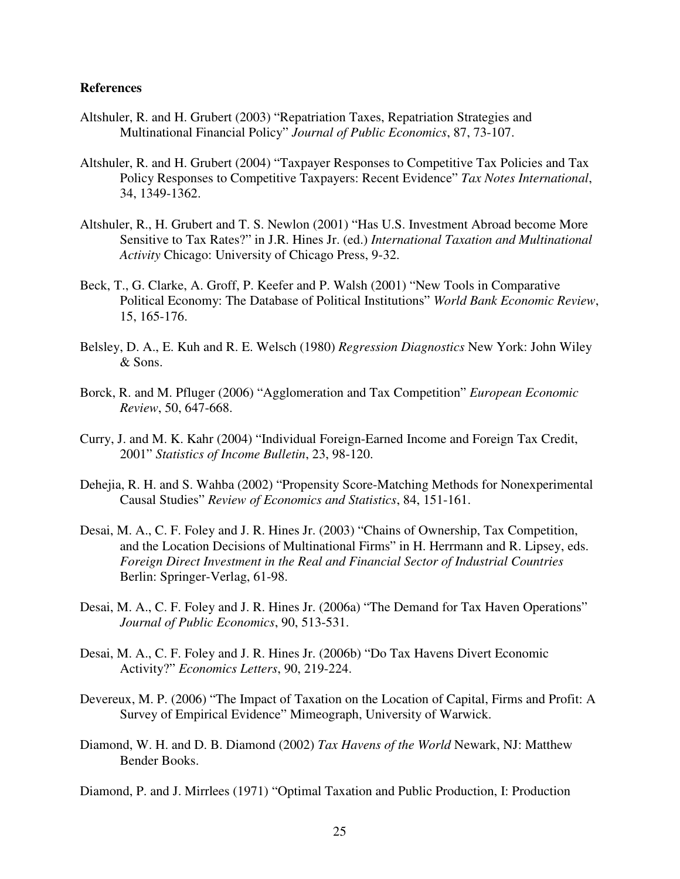#### **References**

- Altshuler, R. and H. Grubert (2003) "Repatriation Taxes, Repatriation Strategies and Multinational Financial Policy" *Journal of Public Economics*, 87, 73-107.
- Altshuler, R. and H. Grubert (2004) "Taxpayer Responses to Competitive Tax Policies and Tax Policy Responses to Competitive Taxpayers: Recent Evidence" *Tax Notes International*, 34, 1349-1362.
- Altshuler, R., H. Grubert and T. S. Newlon (2001) "Has U.S. Investment Abroad become More Sensitive to Tax Rates?" in J.R. Hines Jr. (ed.) *International Taxation and Multinational Activity* Chicago: University of Chicago Press, 9-32.
- Beck, T., G. Clarke, A. Groff, P. Keefer and P. Walsh (2001) "New Tools in Comparative Political Economy: The Database of Political Institutions" *World Bank Economic Review*, 15, 165-176.
- Belsley, D. A., E. Kuh and R. E. Welsch (1980) *Regression Diagnostics* New York: John Wiley & Sons.
- Borck, R. and M. Pfluger (2006) "Agglomeration and Tax Competition" *European Economic Review*, 50, 647-668.
- Curry, J. and M. K. Kahr (2004) "Individual Foreign-Earned Income and Foreign Tax Credit, 2001" *Statistics of Income Bulletin*, 23, 98-120.
- Dehejia, R. H. and S. Wahba (2002) "Propensity Score-Matching Methods for Nonexperimental Causal Studies" *Review of Economics and Statistics*, 84, 151-161.
- Desai, M. A., C. F. Foley and J. R. Hines Jr. (2003) "Chains of Ownership, Tax Competition, and the Location Decisions of Multinational Firms" in H. Herrmann and R. Lipsey, eds. *Foreign Direct Investment in the Real and Financial Sector of Industrial Countries* Berlin: Springer-Verlag, 61-98.
- Desai, M. A., C. F. Foley and J. R. Hines Jr. (2006a) "The Demand for Tax Haven Operations" *Journal of Public Economics*, 90, 513-531.
- Desai, M. A., C. F. Foley and J. R. Hines Jr. (2006b) "Do Tax Havens Divert Economic Activity?" *Economics Letters*, 90, 219-224.
- Devereux, M. P. (2006) "The Impact of Taxation on the Location of Capital, Firms and Profit: A Survey of Empirical Evidence" Mimeograph, University of Warwick.
- Diamond, W. H. and D. B. Diamond (2002) *Tax Havens of the World* Newark, NJ: Matthew Bender Books.

Diamond, P. and J. Mirrlees (1971) "Optimal Taxation and Public Production, I: Production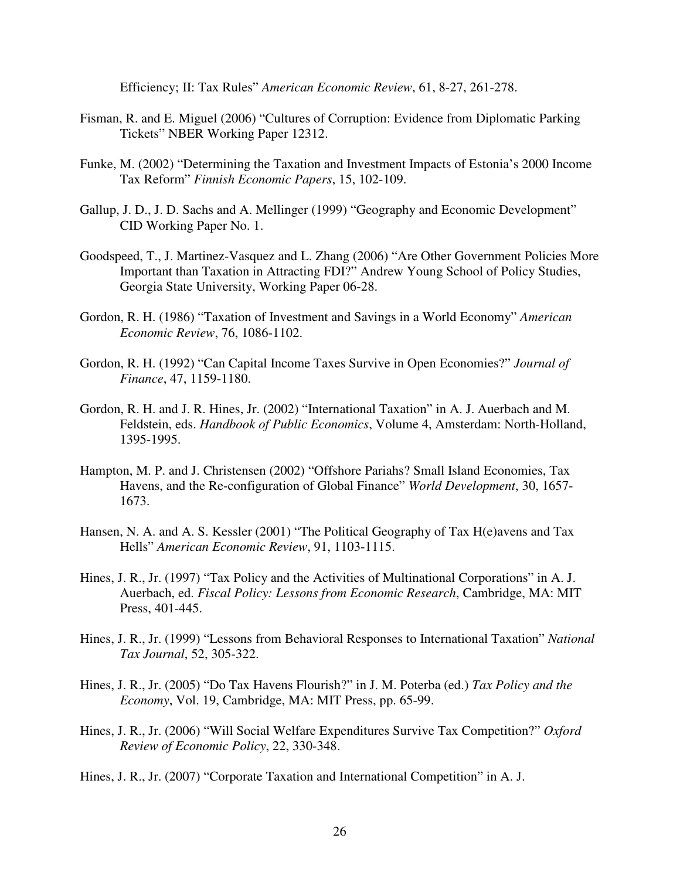Efficiency; II: Tax Rules" *American Economic Review*, 61, 8-27, 261-278.

- Fisman, R. and E. Miguel (2006) "Cultures of Corruption: Evidence from Diplomatic Parking Tickets" NBER Working Paper 12312.
- Funke, M. (2002) "Determining the Taxation and Investment Impacts of Estonia's 2000 Income Tax Reform" *Finnish Economic Papers*, 15, 102-109.
- Gallup, J. D., J. D. Sachs and A. Mellinger (1999) "Geography and Economic Development" CID Working Paper No. 1.
- Goodspeed, T., J. Martinez-Vasquez and L. Zhang (2006) "Are Other Government Policies More Important than Taxation in Attracting FDI?" Andrew Young School of Policy Studies, Georgia State University, Working Paper 06-28.
- Gordon, R. H. (1986) "Taxation of Investment and Savings in a World Economy" *American Economic Review*, 76, 1086-1102.
- Gordon, R. H. (1992) "Can Capital Income Taxes Survive in Open Economies?" *Journal of Finance*, 47, 1159-1180.
- Gordon, R. H. and J. R. Hines, Jr. (2002) "International Taxation" in A. J. Auerbach and M. Feldstein, eds. *Handbook of Public Economics*, Volume 4, Amsterdam: North-Holland, 1395-1995.
- Hampton, M. P. and J. Christensen (2002) "Offshore Pariahs? Small Island Economies, Tax Havens, and the Re-configuration of Global Finance" *World Development*, 30, 1657- 1673.
- Hansen, N. A. and A. S. Kessler (2001) "The Political Geography of Tax H(e)avens and Tax Hells" *American Economic Review*, 91, 1103-1115.
- Hines, J. R., Jr. (1997) "Tax Policy and the Activities of Multinational Corporations" in A. J. Auerbach, ed. *Fiscal Policy: Lessons from Economic Research*, Cambridge, MA: MIT Press, 401-445.
- Hines, J. R., Jr. (1999) "Lessons from Behavioral Responses to International Taxation" *National Tax Journal*, 52, 305-322.
- Hines, J. R., Jr. (2005) "Do Tax Havens Flourish?" in J. M. Poterba (ed.) *Tax Policy and the Economy*, Vol. 19, Cambridge, MA: MIT Press, pp. 65-99.
- Hines, J. R., Jr. (2006) "Will Social Welfare Expenditures Survive Tax Competition?" *Oxford Review of Economic Policy*, 22, 330-348.

Hines, J. R., Jr. (2007) "Corporate Taxation and International Competition" in A. J.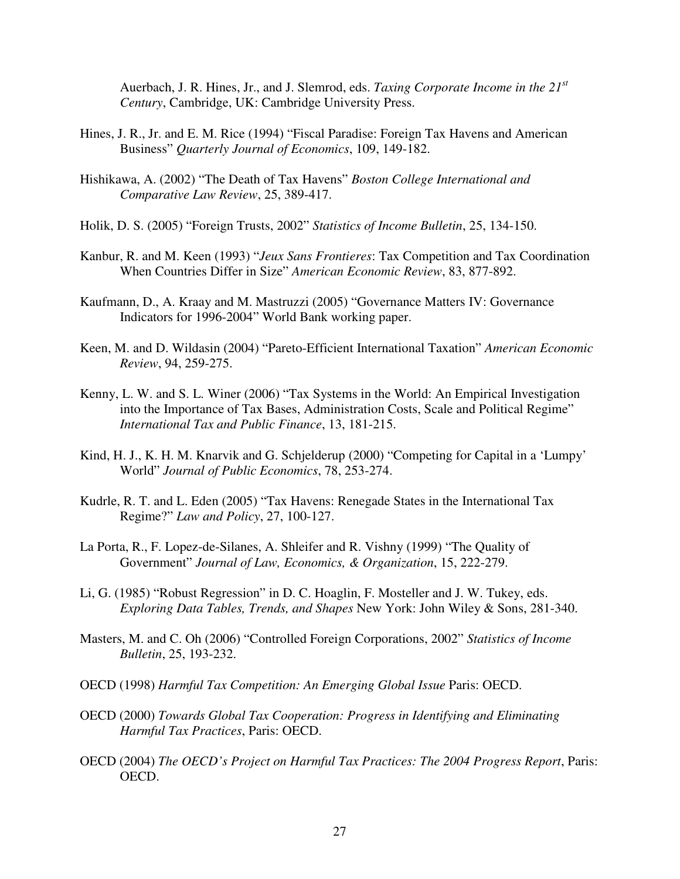Auerbach, J. R. Hines, Jr., and J. Slemrod, eds. *Taxing Corporate Income in the 21 st Century*, Cambridge, UK: Cambridge University Press.

- Hines, J. R., Jr. and E. M. Rice (1994) "Fiscal Paradise: Foreign Tax Havens and American Business" *Quarterly Journal of Economics*, 109, 149-182.
- Hishikawa, A. (2002) "The Death of Tax Havens" *Boston College International and Comparative Law Review*, 25, 389-417.
- Holik, D. S. (2005) "Foreign Trusts, 2002" *Statistics of Income Bulletin*, 25, 134-150.
- Kanbur, R. and M. Keen (1993) "*Jeux Sans Frontieres*: Tax Competition and Tax Coordination When Countries Differ in Size" *American Economic Review*, 83, 877-892.
- Kaufmann, D., A. Kraay and M. Mastruzzi (2005) "Governance Matters IV: Governance Indicators for 1996-2004" World Bank working paper.
- Keen, M. and D. Wildasin (2004) "Pareto-Efficient International Taxation" *American Economic Review*, 94, 259-275.
- Kenny, L. W. and S. L. Winer (2006) "Tax Systems in the World: An Empirical Investigation into the Importance of Tax Bases, Administration Costs, Scale and Political Regime" *International Tax and Public Finance*, 13, 181-215.
- Kind, H. J., K. H. M. Knarvik and G. Schjelderup (2000) "Competing for Capital in a 'Lumpy' World" *Journal of Public Economics*, 78, 253-274.
- Kudrle, R. T. and L. Eden (2005) "Tax Havens: Renegade States in the International Tax Regime?" *Law and Policy*, 27, 100-127.
- La Porta, R., F. Lopez-de-Silanes, A. Shleifer and R. Vishny (1999) "The Quality of Government" *Journal of Law, Economics, & Organization*, 15, 222-279.
- Li, G. (1985) "Robust Regression" in D. C. Hoaglin, F. Mosteller and J. W. Tukey, eds. *Exploring Data Tables, Trends, and Shapes* New York: John Wiley & Sons, 281-340.
- Masters, M. and C. Oh (2006) "Controlled Foreign Corporations, 2002" *Statistics of Income Bulletin*, 25, 193-232.
- OECD (1998) *Harmful Tax Competition: An Emerging Global Issue* Paris: OECD.
- OECD (2000) *Towards Global Tax Cooperation: Progress in Identifying and Eliminating Harmful Tax Practices*, Paris: OECD.
- OECD (2004) *The OECD's Project on Harmful Tax Practices: The 2004 Progress Report*, Paris: OECD.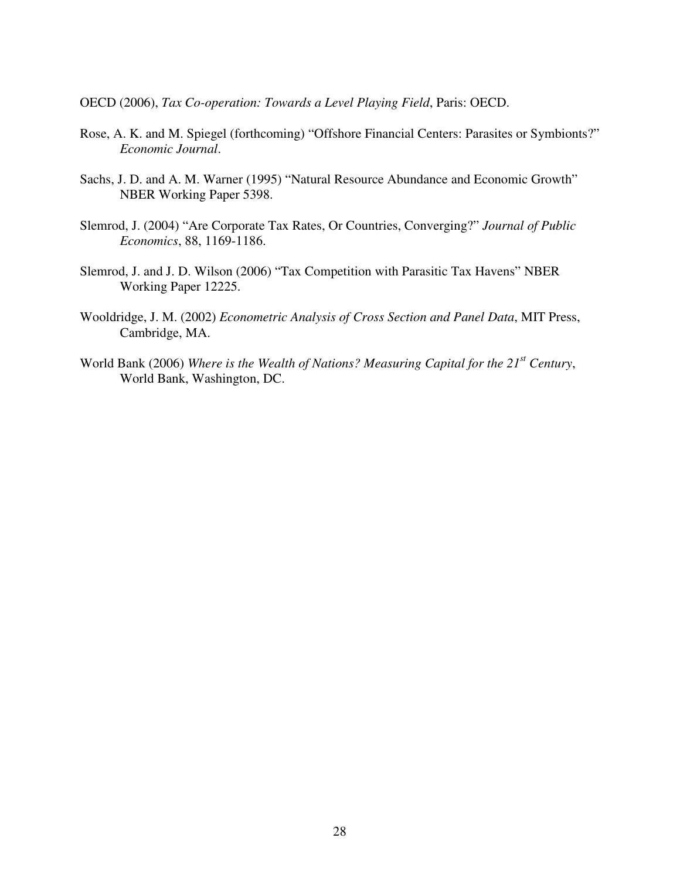- OECD (2006), *Tax Co-operation: Towards a Level Playing Field*, Paris: OECD.
- Rose, A. K. and M. Spiegel (forthcoming) "Offshore Financial Centers: Parasites or Symbionts?" *Economic Journal*.
- Sachs, J. D. and A. M. Warner (1995) "Natural Resource Abundance and Economic Growth" NBER Working Paper 5398.
- Slemrod, J. (2004) "Are Corporate Tax Rates, Or Countries, Converging?" *Journal of Public Economics*, 88, 1169-1186.
- Slemrod, J. and J. D. Wilson (2006) "Tax Competition with Parasitic Tax Havens" NBER Working Paper 12225.
- Wooldridge, J. M. (2002) *Econometric Analysis of Cross Section and Panel Data*, MIT Press, Cambridge, MA.
- World Bank (2006) *Where is the Wealth of Nations? Measuring Capital for the 21 st Century*, World Bank, Washington, DC.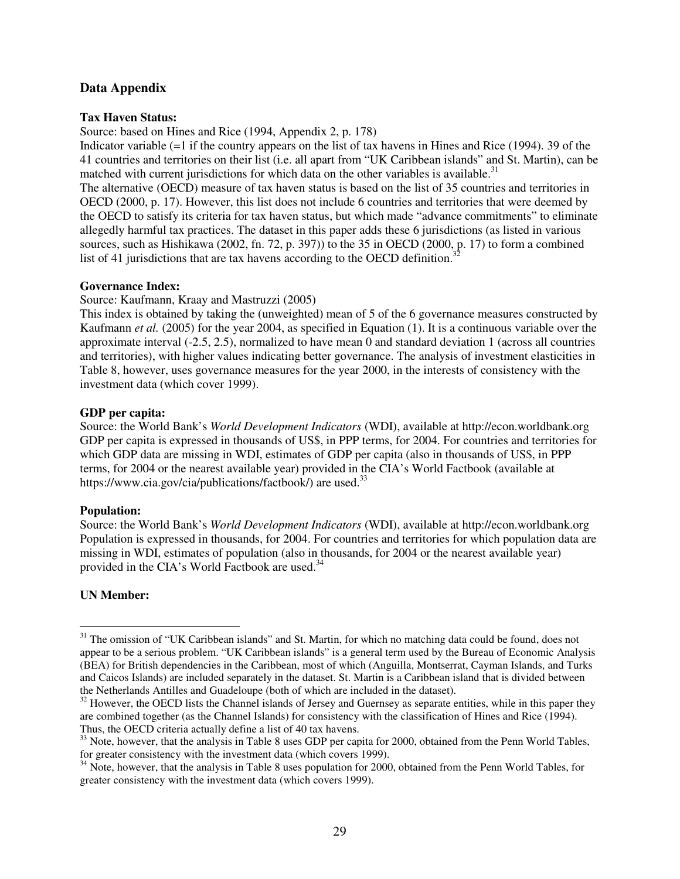## **Data Appendix**

#### **Tax Haven Status:**

Source: based on Hines and Rice (1994, Appendix 2, p. 178)

Indicator variable (=1 if the country appears on the list of tax havens in Hines and Rice (1994). 39 of the 41 countries and territories on their list (i.e. all apart from "UK Caribbean islands" and St. Martin), can be matched with current jurisdictions for which data on the other variables is available.<sup>31</sup>

The alternative (OECD) measure of tax haven status is based on the list of 35 countries and territories in OECD (2000, p. 17). However, this list does not include 6 countries and territories that were deemed by the OECD to satisfy its criteria for tax haven status, but which made "advance commitments" to eliminate allegedly harmful tax practices. The dataset in this paper adds these 6 jurisdictions (as listed in various sources, such as Hishikawa (2002, fn. 72, p. 397)) to the 35 in OECD (2000, p. 17) to form a combined list of 41 jurisdictions that are tax havens according to the OECD definition.<sup>32</sup>

#### **Governance Index:**

Source: Kaufmann, Kraay and Mastruzzi (2005)

This index is obtained by taking the (unweighted) mean of 5 of the 6 governance measures constructed by Kaufmann *et al.* (2005) for the year 2004, as specified in Equation (1). It is a continuous variable over the approximate interval (-2.5, 2.5), normalized to have mean 0 and standard deviation 1 (across all countries and territories), with higher values indicating better governance. The analysis of investment elasticities in Table 8, however, uses governance measures for the year 2000, in the interests of consistency with the investment data (which cover 1999).

#### **GDP per capita:**

Source: the World Bank's *World Development Indicators* (WDI), available at http://econ.worldbank.org GDP per capita is expressed in thousands of US\$, in PPP terms, for 2004. For countries and territories for which GDP data are missing in WDI, estimates of GDP per capita (also in thousands of US\$, in PPP terms, for 2004 or the nearest available year) provided in the CIA's World Factbook (available at https://www.cia.gov/cia/publications/factbook/) are used.<sup>33</sup>

#### **Population:**

Source: the World Bank's *World Development Indicators* (WDI), available at http://econ.worldbank.org Population is expressed in thousands, for 2004. For countries and territories for which population data are missing in WDI, estimates of population (also in thousands, for 2004 or the nearest available year) provided in the CIA's World Factbook are used.<sup>34</sup>

#### **UN Member:**

<sup>&</sup>lt;sup>31</sup> The omission of "UK Caribbean islands" and St. Martin, for which no matching data could be found, does not appear to be a serious problem. "UK Caribbean islands" is a general term used by the Bureau of Economic Analysis (BEA) for British dependencies in the Caribbean, most of which (Anguilla, Montserrat, Cayman Islands, and Turks and Caicos Islands) are included separately in the dataset. St. Martin is a Caribbean island that is divided between the Netherlands Antilles and Guadeloupe (both of which are included in the dataset).

<sup>&</sup>lt;sup>32</sup> However, the OECD lists the Channel islands of Jersey and Guernsey as separate entities, while in this paper they are combined together (as the Channel Islands) for consistency with the classification of Hines and Rice (1994). Thus, the OECD criteria actually define a list of 40 tax havens.

<sup>&</sup>lt;sup>33</sup> Note, however, that the analysis in Table 8 uses GDP per capita for 2000, obtained from the Penn World Tables, for greater consistency with the investment data (which covers 1999).

<sup>&</sup>lt;sup>34</sup> Note, however, that the analysis in Table 8 uses population for 2000, obtained from the Penn World Tables, for greater consistency with the investment data (which covers 1999).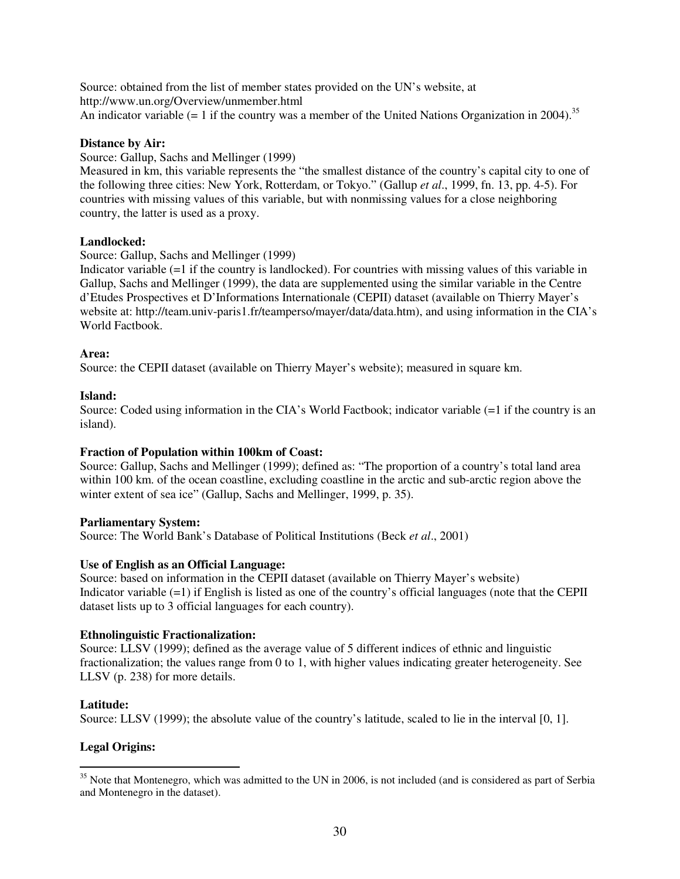Source: obtained from the list of member states provided on the UN's website, at http://www.un.org/Overview/unmember.html An indicator variable  $(= 1)$  if the country was a member of the United Nations Organization in 2004).<sup>35</sup>

### **Distance by Air:**

Source: Gallup, Sachs and Mellinger (1999)

Measured in km, this variable represents the "the smallest distance of the country's capital city to one of the following three cities: New York, Rotterdam, or Tokyo." (Gallup *et al*., 1999, fn. 13, pp. 4-5). For countries with missing values of this variable, but with nonmissing values for a close neighboring country, the latter is used as a proxy.

### **Landlocked:**

Source: Gallup, Sachs and Mellinger (1999)

Indicator variable (=1 if the country is landlocked). For countries with missing values of this variable in Gallup, Sachs and Mellinger (1999), the data are supplemented using the similar variable in the Centre d'Etudes Prospectives et D'Informations Internationale (CEPII) dataset (available on Thierry Mayer's website at: http://team.univ-paris1.fr/teamperso/mayer/data/data.htm), and using information in the CIA's World Factbook.

#### **Area:**

Source: the CEPII dataset (available on Thierry Mayer's website); measured in square km.

### **Island:**

Source: Coded using information in the CIA's World Factbook; indicator variable (=1 if the country is an island).

## **Fraction of Population within 100km of Coast:**

Source: Gallup, Sachs and Mellinger (1999); defined as: "The proportion of a country's total land area within 100 km. of the ocean coastline, excluding coastline in the arctic and sub-arctic region above the winter extent of sea ice" (Gallup, Sachs and Mellinger, 1999, p. 35).

#### **Parliamentary System:**

Source: The World Bank's Database of Political Institutions (Beck *et al*., 2001)

#### **Use of English as an Official Language:**

Source: based on information in the CEPII dataset (available on Thierry Mayer's website) Indicator variable (=1) if English is listed as one of the country's official languages (note that the CEPII dataset lists up to 3 official languages for each country).

#### **Ethnolinguistic Fractionalization:**

Source: LLSV (1999); defined as the average value of 5 different indices of ethnic and linguistic fractionalization; the values range from 0 to 1, with higher values indicating greater heterogeneity. See LLSV (p. 238) for more details.

#### **Latitude:**

Source: LLSV (1999); the absolute value of the country's latitude, scaled to lie in the interval [0, 1].

## **Legal Origins:**

<sup>&</sup>lt;sup>35</sup> Note that Montenegro, which was admitted to the UN in 2006, is not included (and is considered as part of Serbia and Montenegro in the dataset).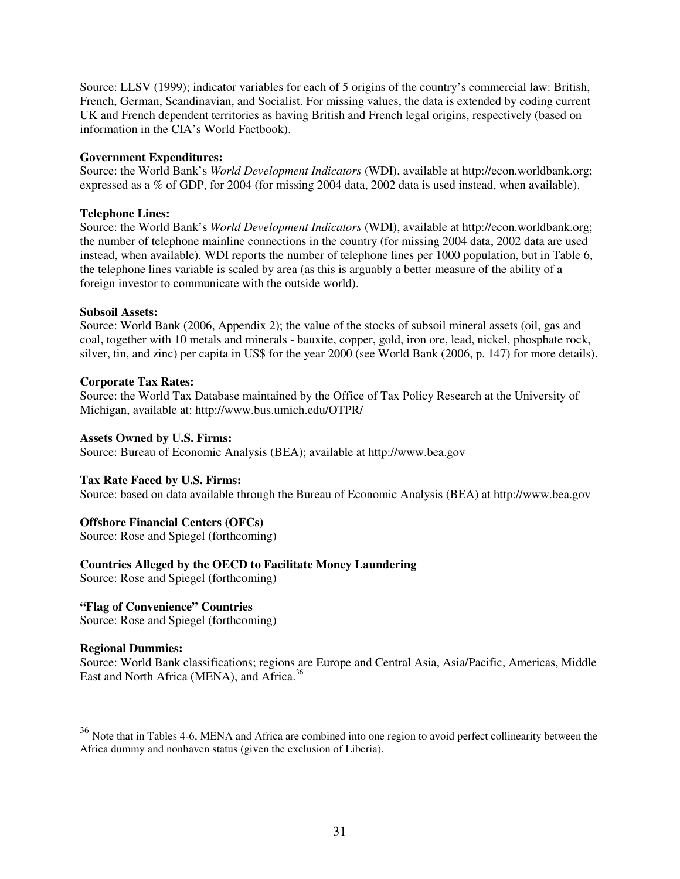Source: LLSV (1999); indicator variables for each of 5 origins of the country's commercial law: British, French, German, Scandinavian, and Socialist. For missing values, the data is extended by coding current UK and French dependent territories as having British and French legal origins, respectively (based on information in the CIA's World Factbook).

#### **Government Expenditures:**

Source: the World Bank's *World Development Indicators* (WDI), available at http://econ.worldbank.org; expressed as a % of GDP, for 2004 (for missing 2004 data, 2002 data is used instead, when available).

#### **Telephone Lines:**

Source: the World Bank's *World Development Indicators* (WDI), available at http://econ.worldbank.org; the number of telephone mainline connections in the country (for missing 2004 data, 2002 data are used instead, when available). WDI reports the number of telephone lines per 1000 population, but in Table 6, the telephone lines variable is scaled by area (as this is arguably a better measure of the ability of a foreign investor to communicate with the outside world).

#### **Subsoil Assets:**

Source: World Bank (2006, Appendix 2); the value of the stocks of subsoil mineral assets (oil, gas and coal, together with 10 metals and minerals - bauxite, copper, gold, iron ore, lead, nickel, phosphate rock, silver, tin, and zinc) per capita in US\$ for the year 2000 (see World Bank (2006, p. 147) for more details).

#### **Corporate Tax Rates:**

Source: the World Tax Database maintained by the Office of Tax Policy Research at the University of Michigan, available at: http://www.bus.umich.edu/OTPR/

#### **Assets Owned by U.S. Firms:**

Source: Bureau of Economic Analysis (BEA); available at http://www.bea.gov

#### **Tax Rate Faced by U.S. Firms:**

Source: based on data available through the Bureau of Economic Analysis (BEA) at http://www.bea.gov

#### **Offshore Financial Centers (OFCs)**

Source: Rose and Spiegel (forthcoming)

#### **Countries Alleged by the OECD to Facilitate Money Laundering**

Source: Rose and Spiegel (forthcoming)

### **"Flag of Convenience" Countries**

Source: Rose and Spiegel (forthcoming)

#### **Regional Dummies:**

Source: World Bank classifications; regions are Europe and Central Asia, Asia/Pacific, Americas, Middle East and North Africa (MENA), and Africa.<sup>36</sup>

<sup>&</sup>lt;sup>36</sup> Note that in Tables 4-6, MENA and Africa are combined into one region to avoid perfect collinearity between the Africa dummy and nonhaven status (given the exclusion of Liberia).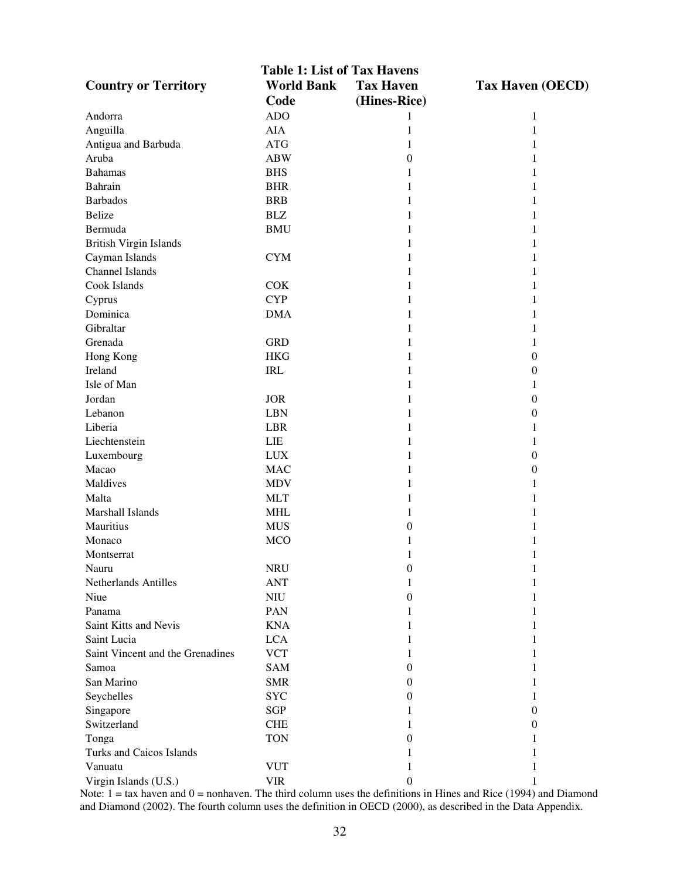| <b>Table 1: List of Tax Havens</b> |                   |                  |                         |  |  |
|------------------------------------|-------------------|------------------|-------------------------|--|--|
| <b>Country or Territory</b>        | <b>World Bank</b> | <b>Tax Haven</b> | <b>Tax Haven (OECD)</b> |  |  |
|                                    | Code              | (Hines-Rice)     |                         |  |  |
| Andorra                            | <b>ADO</b>        | 1                | 1                       |  |  |
| Anguilla                           | <b>AIA</b>        | $\mathbf{1}$     | $\mathbf{1}$            |  |  |
| Antigua and Barbuda                | <b>ATG</b>        | 1                | 1                       |  |  |
| Aruba                              | <b>ABW</b>        | $\boldsymbol{0}$ | 1                       |  |  |
| <b>Bahamas</b>                     | <b>BHS</b>        | 1                | 1                       |  |  |
| Bahrain                            | <b>BHR</b>        | 1                | 1                       |  |  |
| <b>Barbados</b>                    | <b>BRB</b>        | 1                | 1                       |  |  |
| <b>Belize</b>                      | <b>BLZ</b>        | 1                | 1                       |  |  |
| Bermuda                            | <b>BMU</b>        | 1                | 1                       |  |  |
| <b>British Virgin Islands</b>      |                   | 1                | 1                       |  |  |
| Cayman Islands                     | <b>CYM</b>        | 1                | 1                       |  |  |
| Channel Islands                    |                   | 1                |                         |  |  |
| Cook Islands                       | <b>COK</b>        | 1                |                         |  |  |
|                                    | <b>CYP</b>        | 1                | 1                       |  |  |
| Cyprus<br>Dominica                 | <b>DMA</b>        |                  |                         |  |  |
|                                    |                   | 1                | 1                       |  |  |
| Gibraltar                          |                   | 1                | 1                       |  |  |
| Grenada                            | <b>GRD</b>        | 1                | 1                       |  |  |
| Hong Kong                          | <b>HKG</b>        | 1                | 0                       |  |  |
| Ireland                            | <b>IRL</b>        | 1                | 0                       |  |  |
| Isle of Man                        |                   | 1                | 1                       |  |  |
| Jordan                             | <b>JOR</b>        | 1                | 0                       |  |  |
| Lebanon                            | <b>LBN</b>        | 1                | 0                       |  |  |
| Liberia                            | <b>LBR</b>        | 1                | 1                       |  |  |
| Liechtenstein                      | LIE               | 1                | 1                       |  |  |
| Luxembourg                         | <b>LUX</b>        | 1                | 0                       |  |  |
| Macao                              | <b>MAC</b>        | 1                | 0                       |  |  |
| Maldives                           | <b>MDV</b>        | 1                | 1                       |  |  |
| Malta                              | <b>MLT</b>        | 1                |                         |  |  |
| Marshall Islands                   | <b>MHL</b>        | 1                |                         |  |  |
| Mauritius                          | <b>MUS</b>        | $\theta$         | 1                       |  |  |
| Monaco                             | <b>MCO</b>        | 1                | 1                       |  |  |
| Montserrat                         |                   | 1                | 1                       |  |  |
| Nauru                              | <b>NRU</b>        | $\boldsymbol{0}$ | 1                       |  |  |
| Netherlands Antilles               | <b>ANT</b>        | 1                | 1                       |  |  |
| Niue                               | N <sub>IV</sub>   | 0                |                         |  |  |
| Panama                             | <b>PAN</b>        | 1                |                         |  |  |
| Saint Kitts and Nevis              | <b>KNA</b>        | 1                |                         |  |  |
| Saint Lucia                        | <b>LCA</b>        | 1                |                         |  |  |
| Saint Vincent and the Grenadines   | <b>VCT</b>        | 1                | 1                       |  |  |
| Samoa                              | <b>SAM</b>        | 0                |                         |  |  |
| San Marino                         | <b>SMR</b>        | 0                | 1                       |  |  |
| Seychelles                         | <b>SYC</b>        | 0                | 1                       |  |  |
| Singapore                          | SGP               | 1                | 0                       |  |  |
| Switzerland                        | <b>CHE</b>        | 1                | 0                       |  |  |
| Tonga                              | <b>TON</b>        | 0                |                         |  |  |
| Turks and Caicos Islands           |                   | 1                |                         |  |  |
| Vanuatu                            | <b>VUT</b>        | 1                | 1                       |  |  |
| Virgin Islands (U.S.)              | <b>VIR</b>        | $\boldsymbol{0}$ | 1                       |  |  |

Note: 1 = tax haven and 0 = nonhaven. The third column uses the definitions in Hines and Rice (1994) and Diamond and Diamond (2002). The fourth column uses the definition in OECD (2000), as described in the Data Appendix.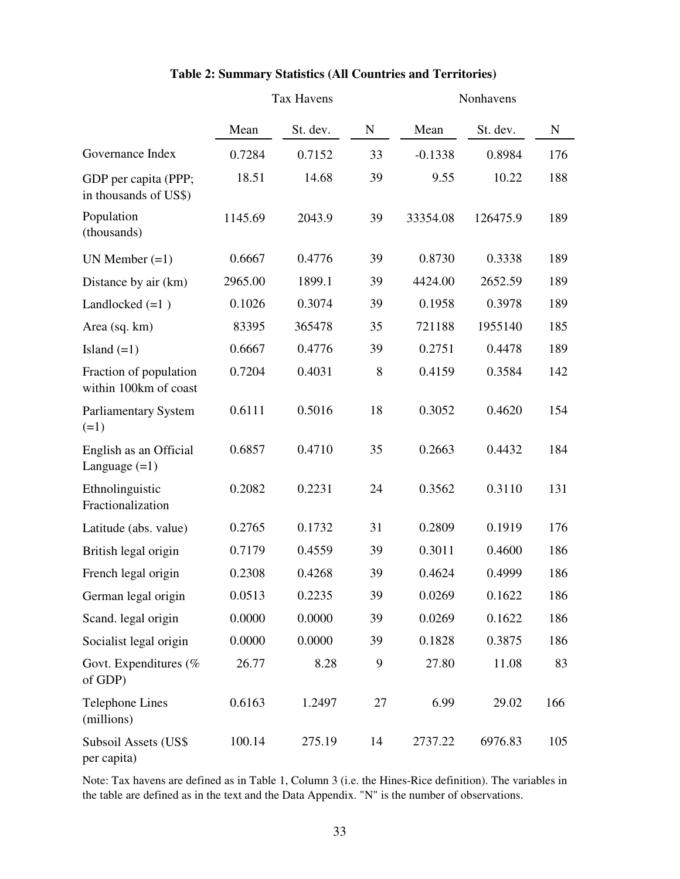|                                                 | <b>Tax Havens</b> |          | Nonhavens |           |          |           |
|-------------------------------------------------|-------------------|----------|-----------|-----------|----------|-----------|
|                                                 | Mean              | St. dev. | ${\bf N}$ | Mean      | St. dev. | ${\bf N}$ |
| Governance Index                                | 0.7284            | 0.7152   | 33        | $-0.1338$ | 0.8984   | 176       |
| GDP per capita (PPP;<br>in thousands of US\$)   | 18.51             | 14.68    | 39        | 9.55      | 10.22    | 188       |
| Population<br>(thousands)                       | 1145.69           | 2043.9   | 39        | 33354.08  | 126475.9 | 189       |
| UN Member $(=1)$                                | 0.6667            | 0.4776   | 39        | 0.8730    | 0.3338   | 189       |
| Distance by air (km)                            | 2965.00           | 1899.1   | 39        | 4424.00   | 2652.59  | 189       |
| Landlocked $(=1)$                               | 0.1026            | 0.3074   | 39        | 0.1958    | 0.3978   | 189       |
| Area (sq. km)                                   | 83395             | 365478   | 35        | 721188    | 1955140  | 185       |
| Island $(=1)$                                   | 0.6667            | 0.4776   | 39        | 0.2751    | 0.4478   | 189       |
| Fraction of population<br>within 100km of coast | 0.7204            | 0.4031   | 8         | 0.4159    | 0.3584   | 142       |
| <b>Parliamentary System</b><br>$(=1)$           | 0.6111            | 0.5016   | 18        | 0.3052    | 0.4620   | 154       |
| English as an Official<br>Language $(=1)$       | 0.6857            | 0.4710   | 35        | 0.2663    | 0.4432   | 184       |
| Ethnolinguistic<br>Fractionalization            | 0.2082            | 0.2231   | 24        | 0.3562    | 0.3110   | 131       |
| Latitude (abs. value)                           | 0.2765            | 0.1732   | 31        | 0.2809    | 0.1919   | 176       |
| British legal origin                            | 0.7179            | 0.4559   | 39        | 0.3011    | 0.4600   | 186       |
| French legal origin                             | 0.2308            | 0.4268   | 39        | 0.4624    | 0.4999   | 186       |
| German legal origin                             | 0.0513            | 0.2235   | 39        | 0.0269    | 0.1622   | 186       |
| Scand. legal origin                             | 0.0000            | 0.0000   | 39        | 0.0269    | 0.1622   | 186       |
| Socialist legal origin                          | 0.0000            | 0.0000   | 39        | 0.1828    | 0.3875   | 186       |
| Govt. Expenditures (%<br>of GDP)                | 26.77             | 8.28     | 9         | 27.80     | 11.08    | 83        |
| <b>Telephone Lines</b><br>(millions)            | 0.6163            | 1.2497   | 27        | 6.99      | 29.02    | 166       |
| Subsoil Assets (US\$<br>per capita)             | 100.14            | 275.19   | 14        | 2737.22   | 6976.83  | 105       |

## **Table 2: Summary Statistics (All Countries and Territories)**

Note: Tax havens are defined as in Table 1, Column 3 (i.e. the Hines-Rice definition). The variables in the table are defined as in the text and the Data Appendix. "N" is the number of observations.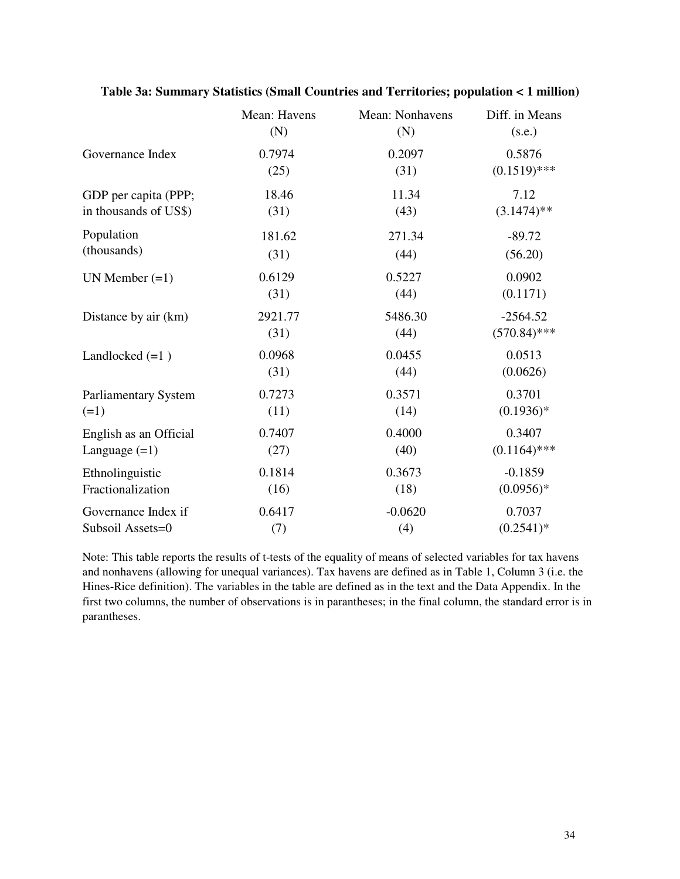|                        | Mean: Havens | Mean: Nonhavens | Diff. in Means |
|------------------------|--------------|-----------------|----------------|
|                        | (N)          | (N)             | (s.e.)         |
| Governance Index       | 0.7974       | 0.2097          | 0.5876         |
|                        | (25)         | (31)            | $(0.1519)$ *** |
| GDP per capita (PPP;   | 18.46        | 11.34           | 7.12           |
| in thousands of US\$)  | (31)         | (43)            | $(3.1474)$ **  |
| Population             | 181.62       | 271.34          | $-89.72$       |
| (thousands)            | (31)         | (44)            | (56.20)        |
| UN Member $(=1)$       | 0.6129       | 0.5227          | 0.0902         |
|                        | (31)         | (44)            | (0.1171)       |
| Distance by air (km)   | 2921.77      | 5486.30         | $-2564.52$     |
|                        | (31)         | (44)            | $(570.84)$ *** |
| Landlocked $(=1)$      | 0.0968       | 0.0455          | 0.0513         |
|                        | (31)         | (44)            | (0.0626)       |
| Parliamentary System   | 0.7273       | 0.3571          | 0.3701         |
| $(=1)$                 | (11)         | (14)            | $(0.1936)*$    |
| English as an Official | 0.7407       | 0.4000          | 0.3407         |
| Language $(=1)$        | (27)         | (40)            | $(0.1164)$ *** |
| Ethnolinguistic        | 0.1814       | 0.3673          | $-0.1859$      |
| Fractionalization      | (16)         | (18)            | $(0.0956)*$    |
| Governance Index if    | 0.6417       | $-0.0620$       | 0.7037         |
| Subsoil Assets=0       | (7)          | (4)             | $(0.2541)^*$   |

## **Table 3a: Summary Statistics (Small Countries and Territories; population < 1 million)**

Note: This table reports the results of t-tests of the equality of means of selected variables for tax havens and nonhavens (allowing for unequal variances). Tax havens are defined as in Table 1, Column 3 (i.e. the Hines-Rice definition). The variables in the table are defined as in the text and the Data Appendix. In the first two columns, the number of observations is in parantheses; in the final column, the standard error is in parantheses.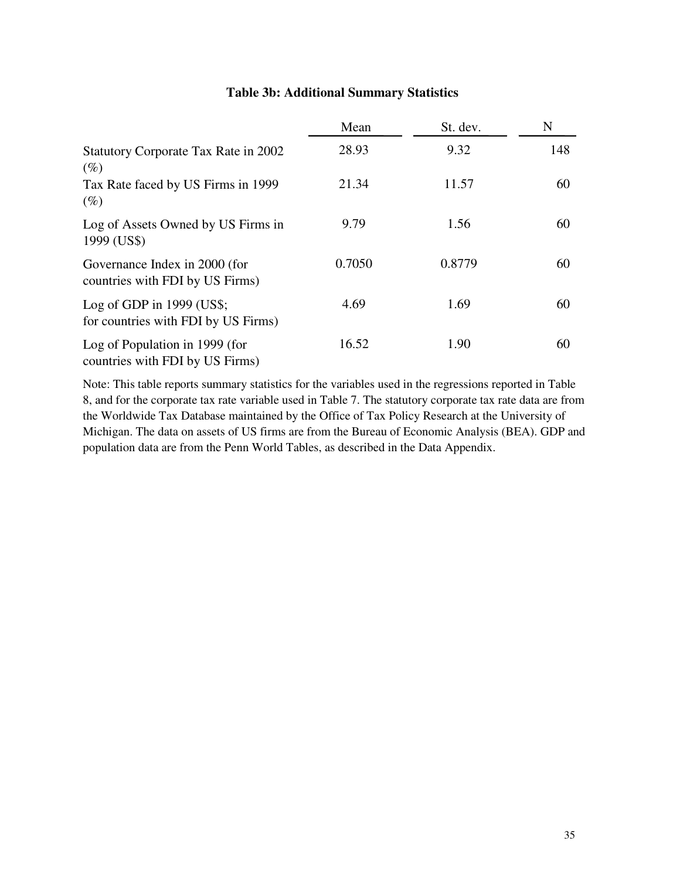|                                                                    | Mean   | St. dev. | N   |
|--------------------------------------------------------------------|--------|----------|-----|
| <b>Statutory Corporate Tax Rate in 2002</b><br>$(\%)$              | 28.93  | 9.32     | 148 |
| Tax Rate faced by US Firms in 1999<br>$(\%)$                       | 21.34  | 11.57    | 60  |
| Log of Assets Owned by US Firms in<br>1999 (US\$)                  | 9.79   | 1.56     | 60  |
| Governance Index in 2000 (for<br>countries with FDI by US Firms)   | 0.7050 | 0.8779   | 60  |
| Log of GDP in $1999$ (US\$;<br>for countries with FDI by US Firms) | 4.69   | 1.69     | 60  |
| Log of Population in 1999 (for<br>countries with FDI by US Firms)  | 16.52  | 1.90     | 60  |

## **Table 3b: Additional Summary Statistics**

Note: This table reports summary statistics for the variables used in the regressions reported in Table 8, and for the corporate tax rate variable used in Table 7. The statutory corporate tax rate data are from the Worldwide Tax Database maintained by the Office of Tax Policy Research at the University of Michigan. The data on assets of US firms are from the Bureau of Economic Analysis (BEA). GDP and population data are from the Penn World Tables, as described in the Data Appendix.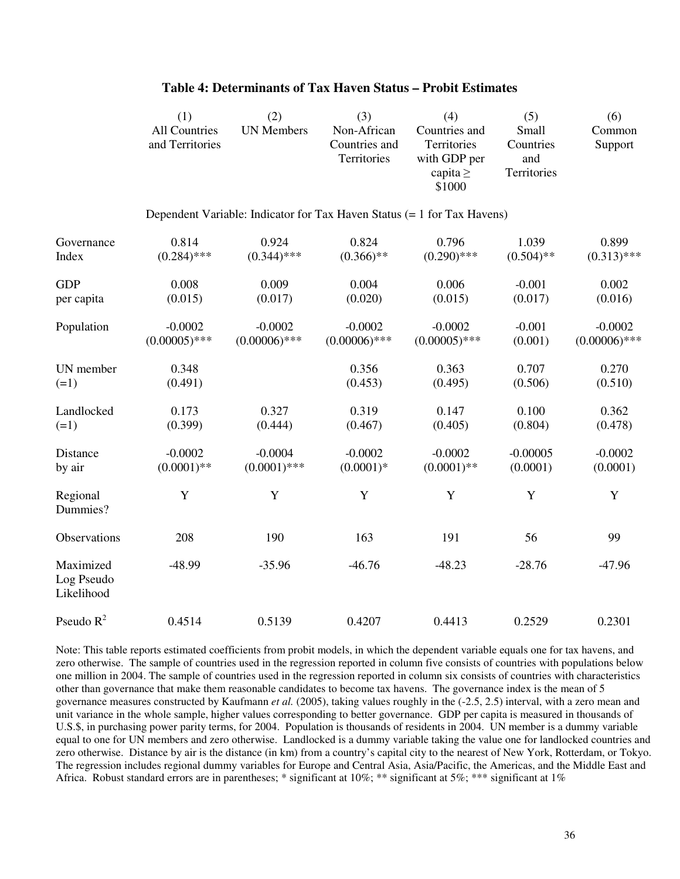|                                       | (1)<br><b>All Countries</b><br>and Territories | (2)<br><b>UN Members</b> | (3)<br>Non-African<br>Countries and<br>Territories                      | (4)<br>Countries and<br>Territories<br>with GDP per<br>capita $\geq$<br>\$1000 | (5)<br>Small<br>Countries<br>and<br>Territories | (6)<br>Common<br>Support |
|---------------------------------------|------------------------------------------------|--------------------------|-------------------------------------------------------------------------|--------------------------------------------------------------------------------|-------------------------------------------------|--------------------------|
|                                       |                                                |                          | Dependent Variable: Indicator for Tax Haven Status (= 1 for Tax Havens) |                                                                                |                                                 |                          |
| Governance                            | 0.814                                          | 0.924                    | 0.824                                                                   | 0.796                                                                          | 1.039                                           | 0.899                    |
| Index                                 | $(0.284)$ ***                                  | $(0.344)$ ***            | $(0.366)$ **                                                            | $(0.290)$ ***                                                                  | $(0.504)$ **                                    | $(0.313)$ ***            |
| <b>GDP</b>                            | 0.008                                          | 0.009                    | 0.004                                                                   | 0.006                                                                          | $-0.001$                                        | 0.002                    |
| per capita                            | (0.015)                                        | (0.017)                  | (0.020)                                                                 | (0.015)                                                                        | (0.017)                                         | (0.016)                  |
| Population                            | $-0.0002$                                      | $-0.0002$                | $-0.0002$                                                               | $-0.0002$                                                                      | $-0.001$                                        | $-0.0002$                |
|                                       | $(0.00005)$ ***                                | $(0.00006)$ ***          | $(0.00006)$ ***                                                         | $(0.00005)$ ***                                                                | (0.001)                                         | $(0.00006)$ ***          |
| UN member                             | 0.348                                          |                          | 0.356                                                                   | 0.363                                                                          | 0.707                                           | 0.270                    |
| $(=1)$                                | (0.491)                                        |                          | (0.453)                                                                 | (0.495)                                                                        | (0.506)                                         | (0.510)                  |
| Landlocked                            | 0.173                                          | 0.327                    | 0.319                                                                   | 0.147                                                                          | 0.100                                           | 0.362                    |
| $(=1)$                                | (0.399)                                        | (0.444)                  | (0.467)                                                                 | (0.405)                                                                        | (0.804)                                         | (0.478)                  |
| Distance                              | $-0.0002$                                      | $-0.0004$                | $-0.0002$                                                               | $-0.0002$                                                                      | $-0.00005$                                      | $-0.0002$                |
| by air                                | $(0.0001)$ **                                  | $(0.0001)$ ***           | $(0.0001)*$                                                             | $(0.0001)$ **                                                                  | (0.0001)                                        | (0.0001)                 |
| Regional<br>Dummies?                  | $\mathbf Y$                                    | $\mathbf Y$              | $\mathbf Y$                                                             | $\mathbf Y$                                                                    | Y                                               | Y                        |
| Observations                          | 208                                            | 190                      | 163                                                                     | 191                                                                            | 56                                              | 99                       |
| Maximized<br>Log Pseudo<br>Likelihood | $-48.99$                                       | $-35.96$                 | $-46.76$                                                                | $-48.23$                                                                       | $-28.76$                                        | $-47.96$                 |
| Pseudo $R^2$                          | 0.4514                                         | 0.5139                   | 0.4207                                                                  | 0.4413                                                                         | 0.2529                                          | 0.2301                   |

#### **Table 4: Determinants of Tax Haven Status – Probit Estimates**

Note: This table reports estimated coefficients from probit models, in which the dependent variable equals one for tax havens, and zero otherwise. The sample of countries used in the regression reported in column five consists of countries with populations below one million in 2004. The sample of countries used in the regression reported in column six consists of countries with characteristics other than governance that make them reasonable candidates to become tax havens. The governance index is the mean of 5 governance measures constructed by Kaufmann *et al.* (2005), taking values roughly in the (-2.5, 2.5) interval, with a zero mean and unit variance in the whole sample, higher values corresponding to better governance. GDP per capita is measured in thousands of U.S.\$, in purchasing power parity terms, for 2004. Population is thousands of residents in 2004. UN member is a dummy variable equal to one for UN members and zero otherwise. Landlocked is a dummy variable taking the value one for landlocked countries and zero otherwise. Distance by air is the distance (in km) from a country's capital city to the nearest of New York, Rotterdam, or Tokyo. The regression includes regional dummy variables for Europe and Central Asia, Asia/Pacific, the Americas, and the Middle East and Africa. Robust standard errors are in parentheses; \* significant at 10%; \*\* significant at 5%; \*\*\* significant at 1%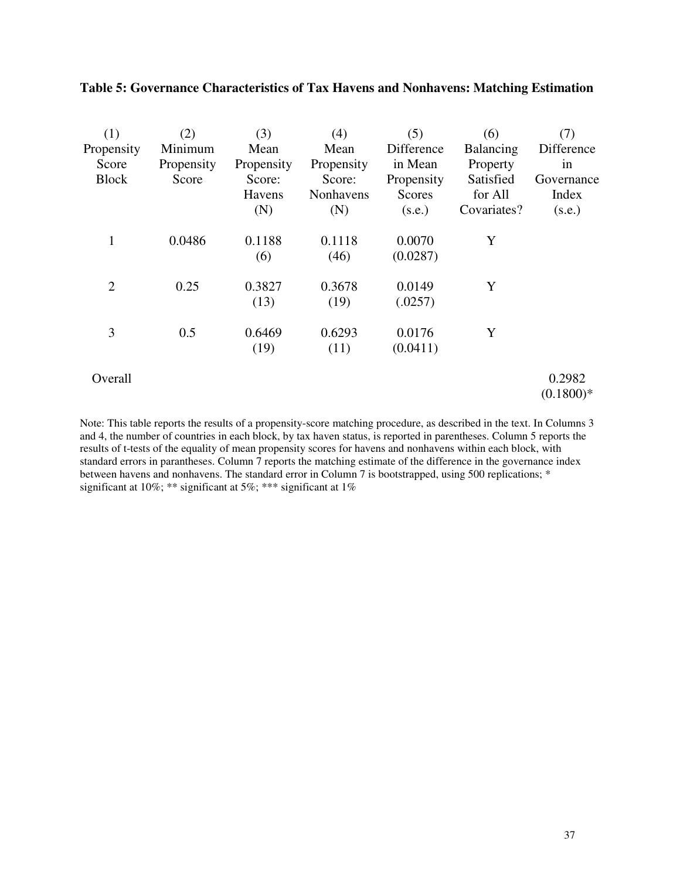| (1)            | (2)        | (3)        | (4)        | (5)           | (6)         | (7)        |
|----------------|------------|------------|------------|---------------|-------------|------------|
| Propensity     | Minimum    | Mean       | Mean       | Difference    | Balancing   | Difference |
| Score          | Propensity | Propensity | Propensity | in Mean       | Property    | in         |
| <b>Block</b>   | Score      | Score:     | Score:     | Propensity    | Satisfied   | Governance |
|                |            | Havens     | Nonhavens  | <b>Scores</b> | for All     | Index      |
|                |            | (N)        | (N)        | (s.e.)        | Covariates? | (s.e.)     |
| 1              | 0.0486     | 0.1188     | 0.1118     | 0.0070        | Y           |            |
|                |            | (6)        | (46)       | (0.0287)      |             |            |
| $\overline{2}$ | 0.25       | 0.3827     | 0.3678     | 0.0149        | Y           |            |
|                |            | (13)       | (19)       | (.0257)       |             |            |
| 3              | 0.5        | 0.6469     | 0.6293     | 0.0176        | Y           |            |
|                |            | (19)       | (11)       | (0.0411)      |             |            |
| Overall        |            |            |            |               |             | 0.2982     |

## **Table 5: Governance Characteristics of Tax Havens and Nonhavens: Matching Estimation**

 $(0.1800)*$ 

Note: This table reports the results of a propensity-score matching procedure, as described in the text. In Columns 3 and 4, the number of countries in each block, by tax haven status, is reported in parentheses. Column 5 reports the results of t-tests of the equality of mean propensity scores for havens and nonhavens within each block, with standard errors in parantheses. Column 7 reports the matching estimate of the difference in the governance index between havens and nonhavens. The standard error in Column 7 is bootstrapped, using 500 replications; \* significant at 10%; \*\* significant at 5%; \*\*\* significant at 1%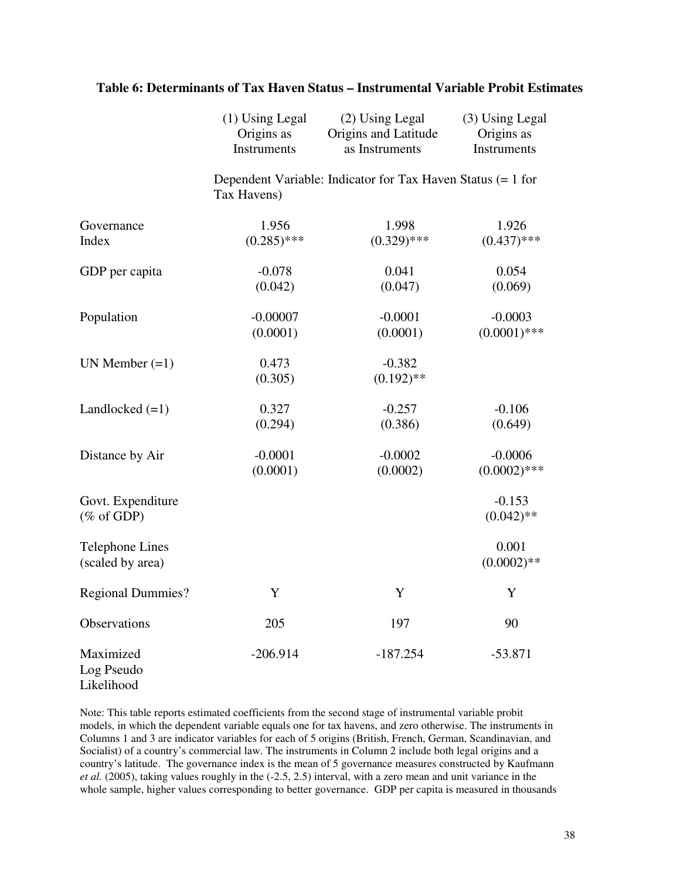|                                            | $(1)$ Using Legal<br>Origins as<br>Instruments | (2) Using Legal<br>Origins and Latitude<br>as Instruments   | (3) Using Legal<br>Origins as<br>Instruments |
|--------------------------------------------|------------------------------------------------|-------------------------------------------------------------|----------------------------------------------|
|                                            | Tax Havens)                                    | Dependent Variable: Indicator for Tax Haven Status (= 1 for |                                              |
| Governance<br>Index                        | 1.956<br>$(0.285)$ ***                         | 1.998<br>$(0.329)$ ***                                      | 1.926<br>$(0.437)$ ***                       |
| GDP per capita                             | $-0.078$<br>(0.042)                            | 0.041<br>(0.047)                                            | 0.054<br>(0.069)                             |
| Population                                 | $-0.00007$<br>(0.0001)                         | $-0.0001$<br>(0.0001)                                       | $-0.0003$<br>$(0.0001)$ ***                  |
| UN Member $(=1)$                           | 0.473<br>(0.305)                               | $-0.382$<br>$(0.192)$ **                                    |                                              |
| Landlocked $(=1)$                          | 0.327<br>(0.294)                               | $-0.257$<br>(0.386)                                         | $-0.106$<br>(0.649)                          |
| Distance by Air                            | $-0.0001$<br>(0.0001)                          | $-0.0002$<br>(0.0002)                                       | $-0.0006$<br>$(0.0002)$ ***                  |
| Govt. Expenditure<br>$(\%$ of GDP)         |                                                |                                                             | $-0.153$<br>$(0.042)$ **                     |
| <b>Telephone Lines</b><br>(scaled by area) |                                                |                                                             | 0.001<br>$(0.0002)$ **                       |
| <b>Regional Dummies?</b>                   | Y                                              | Y                                                           | Y                                            |
| <b>Observations</b>                        | 205                                            | 197                                                         | 90                                           |
| Maximized<br>Log Pseudo<br>Likelihood      | $-206.914$                                     | $-187.254$                                                  | $-53.871$                                    |

## **Table 6: Determinants of Tax Haven Status – Instrumental Variable Probit Estimates**

Note: This table reports estimated coefficients from the second stage of instrumental variable probit models, in which the dependent variable equals one for tax havens, and zero otherwise. The instruments in Columns 1 and 3 are indicator variables for each of 5 origins (British, French, German, Scandinavian, and Socialist) of a country's commercial law. The instruments in Column 2 include both legal origins and a country's latitude. The governance index is the mean of 5 governance measures constructed by Kaufmann *et al.* (2005), taking values roughly in the (-2.5, 2.5) interval, with a zero mean and unit variance in the whole sample, higher values corresponding to better governance. GDP per capita is measured in thousands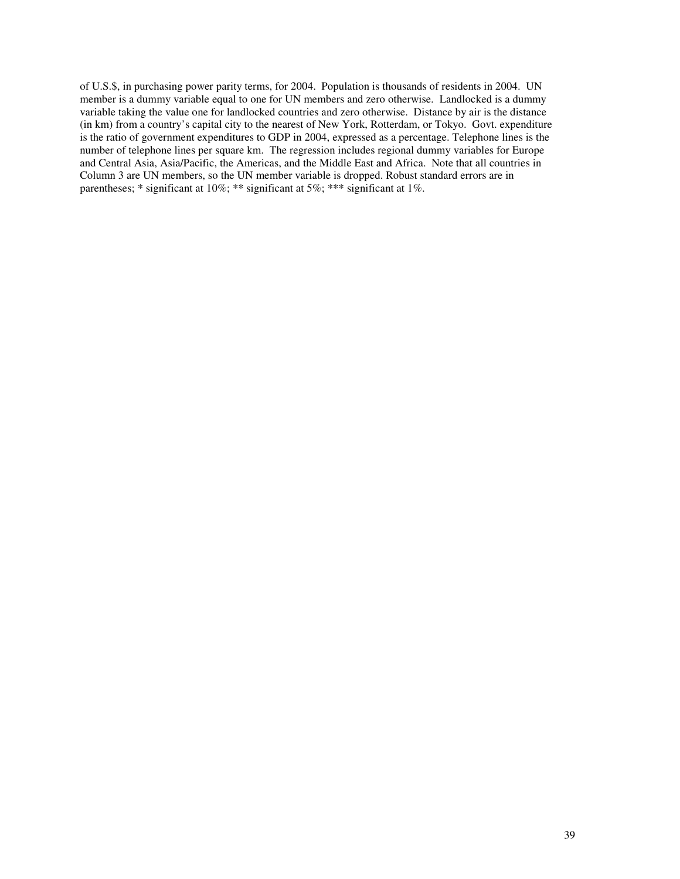of U.S.\$, in purchasing power parity terms, for 2004. Population is thousands of residents in 2004. UN member is a dummy variable equal to one for UN members and zero otherwise. Landlocked is a dummy variable taking the value one for landlocked countries and zero otherwise. Distance by air is the distance (in km) from a country's capital city to the nearest of New York, Rotterdam, or Tokyo. Govt. expenditure is the ratio of government expenditures to GDP in 2004, expressed as a percentage. Telephone lines is the number of telephone lines per square km. The regression includes regional dummy variables for Europe and Central Asia, Asia/Pacific, the Americas, and the Middle East and Africa. Note that all countries in Column 3 are UN members, so the UN member variable is dropped. Robust standard errors are in parentheses; \* significant at 10%; \*\* significant at 5%; \*\*\* significant at 1%.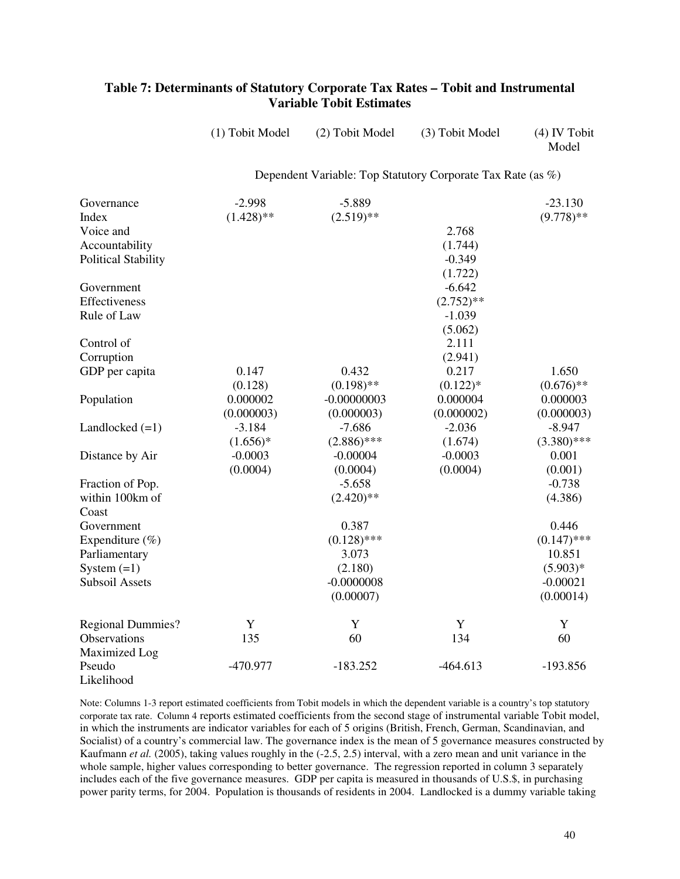## **Table 7: Determinants of Statutory Corporate Tax Rates – Tobit and Instrumental Variable Tobit Estimates**

| (1) Tobit Model                                             | (2) Tobit Model | (3) Tobit Model | $(4)$ IV Tobit<br>Model |  |  |  |
|-------------------------------------------------------------|-----------------|-----------------|-------------------------|--|--|--|
| Dependent Variable: Top Statutory Corporate Tax Rate (as %) |                 |                 |                         |  |  |  |

| Governance                 | $-2.998$     | $-5.889$      |              | $-23.130$     |
|----------------------------|--------------|---------------|--------------|---------------|
| Index                      | $(1.428)$ ** | $(2.519)$ **  |              | $(9.778)$ **  |
| Voice and                  |              |               | 2.768        |               |
| Accountability             |              |               | (1.744)      |               |
| <b>Political Stability</b> |              |               | $-0.349$     |               |
|                            |              |               | (1.722)      |               |
| Government                 |              |               | $-6.642$     |               |
| Effectiveness              |              |               | $(2.752)$ ** |               |
| Rule of Law                |              |               | $-1.039$     |               |
|                            |              |               | (5.062)      |               |
| Control of                 |              |               | 2.111        |               |
| Corruption                 |              |               | (2.941)      |               |
| GDP per capita             | 0.147        | 0.432         | 0.217        | 1.650         |
|                            | (0.128)      | $(0.198)$ **  | $(0.122)*$   | $(0.676)$ **  |
| Population                 | 0.000002     | $-0.00000003$ | 0.000004     | 0.000003      |
|                            | (0.000003)   | (0.000003)    | (0.000002)   | (0.000003)    |
|                            |              |               |              |               |
| Landlocked $(=1)$          | $-3.184$     | $-7.686$      | $-2.036$     | $-8.947$      |
|                            | $(1.656)*$   | $(2.886)$ *** | (1.674)      | $(3.380)$ *** |
| Distance by Air            | $-0.0003$    | $-0.00004$    | $-0.0003$    | 0.001         |
|                            | (0.0004)     | (0.0004)      | (0.0004)     | (0.001)       |
| Fraction of Pop.           |              | $-5.658$      |              | $-0.738$      |
| within 100km of            |              | $(2.420)$ **  |              | (4.386)       |
| Coast                      |              |               |              |               |
| Government                 |              | 0.387         |              | 0.446         |
| Expenditure $(\%)$         |              | $(0.128)$ *** |              | $(0.147)$ *** |
| Parliamentary              |              | 3.073         |              | 10.851        |
| System $(=1)$              |              | (2.180)       |              | $(5.903)*$    |
| <b>Subsoil Assets</b>      |              | $-0.0000008$  |              | $-0.00021$    |
|                            |              | (0.00007)     |              | (0.00014)     |
|                            |              |               |              |               |
| <b>Regional Dummies?</b>   | Y            | Y             | Y            | Y             |
| Observations               | 135          | 60            | 134          | 60            |
| Maximized Log              |              |               |              |               |
| Pseudo                     | -470.977     | $-183.252$    | $-464.613$   | $-193.856$    |
| Likelihood                 |              |               |              |               |

Note: Columns 1-3 report estimated coefficients from Tobit models in which the dependent variable is a country's top statutory corporate tax rate. Column 4 reports estimated coefficients from the second stage of instrumental variable Tobit model, in which the instruments are indicator variables for each of 5 origins (British, French, German, Scandinavian, and Socialist) of a country's commercial law. The governance index is the mean of 5 governance measures constructed by Kaufmann *et al.* (2005), taking values roughly in the (-2.5, 2.5) interval, with a zero mean and unit variance in the whole sample, higher values corresponding to better governance. The regression reported in column 3 separately includes each of the five governance measures. GDP per capita is measured in thousands of U.S.\$, in purchasing power parity terms, for 2004. Population is thousands of residents in 2004. Landlocked is a dummy variable taking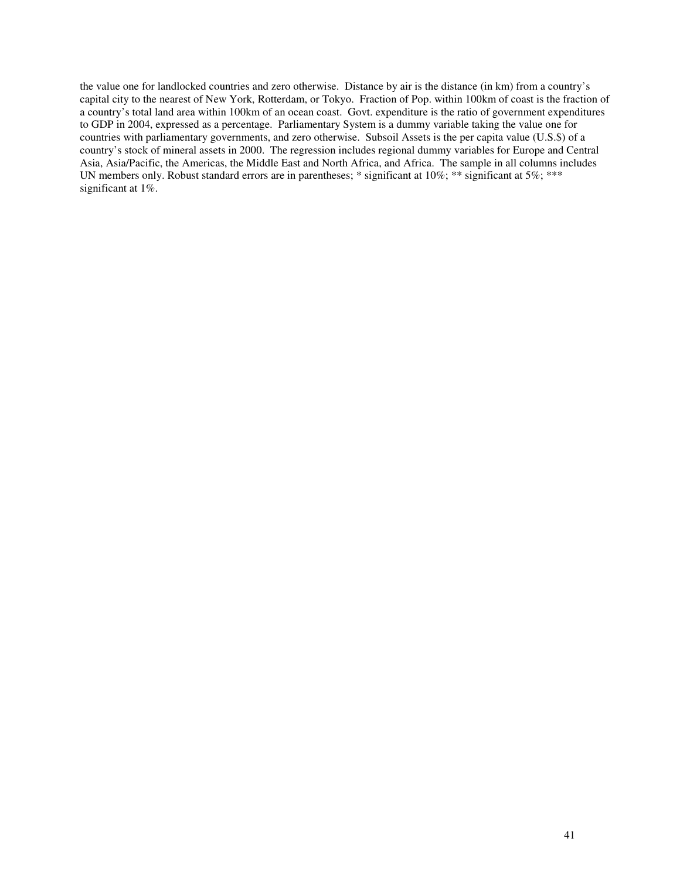the value one for landlocked countries and zero otherwise. Distance by air is the distance (in km) from a country's capital city to the nearest of New York, Rotterdam, or Tokyo. Fraction of Pop. within 100km of coast is the fraction of a country's total land area within 100km of an ocean coast. Govt. expenditure is the ratio of government expenditures to GDP in 2004, expressed as a percentage. Parliamentary System is a dummy variable taking the value one for countries with parliamentary governments, and zero otherwise. Subsoil Assets is the per capita value (U.S.\$) of a country's stock of mineral assets in 2000. The regression includes regional dummy variables for Europe and Central Asia, Asia/Pacific, the Americas, the Middle East and North Africa, and Africa. The sample in all columns includes UN members only. Robust standard errors are in parentheses; \* significant at 10%; \*\* significant at 5%; \*\*\* significant at 1%.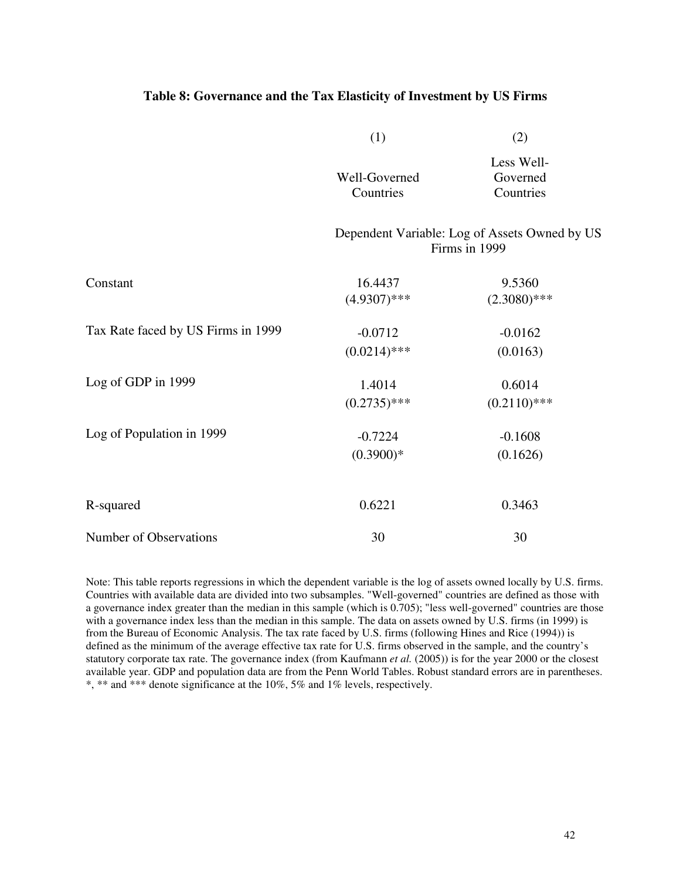#### **Table 8: Governance and the Tax Elasticity of Investment by US Firms**

|                                    | (1)                         | (2)                                                            |
|------------------------------------|-----------------------------|----------------------------------------------------------------|
|                                    | Well-Governed<br>Countries  | Less Well-<br>Governed<br>Countries                            |
|                                    |                             | Dependent Variable: Log of Assets Owned by US<br>Firms in 1999 |
| Constant                           | 16.4437<br>$(4.9307)$ ***   | 9.5360<br>$(2.3080)$ ***                                       |
| Tax Rate faced by US Firms in 1999 | $-0.0712$<br>$(0.0214)$ *** | $-0.0162$<br>(0.0163)                                          |
| Log of GDP in 1999                 | 1.4014<br>$(0.2735)$ ***    | 0.6014<br>$(0.2110)$ ***                                       |
| Log of Population in 1999          | $-0.7224$<br>$(0.3900)*$    | $-0.1608$<br>(0.1626)                                          |
| R-squared                          | 0.6221                      | 0.3463                                                         |
| Number of Observations             | 30                          | 30                                                             |

Note: This table reports regressions in which the dependent variable is the log of assets owned locally by U.S. firms. Countries with available data are divided into two subsamples. "Well-governed" countries are defined as those with a governance index greater than the median in this sample (which is 0.705); "less well-governed" countries are those with a governance index less than the median in this sample. The data on assets owned by U.S. firms (in 1999) is from the Bureau of Economic Analysis. The tax rate faced by U.S. firms (following Hines and Rice (1994)) is defined as the minimum of the average effective tax rate for U.S. firms observed in the sample, and the country's statutory corporate tax rate. The governance index (from Kaufmann *et al.* (2005)) is for the year 2000 or the closest available year. GDP and population data are from the Penn World Tables. Robust standard errors are in parentheses. \*, \*\* and \*\*\* denote significance at the 10%, 5% and 1% levels, respectively.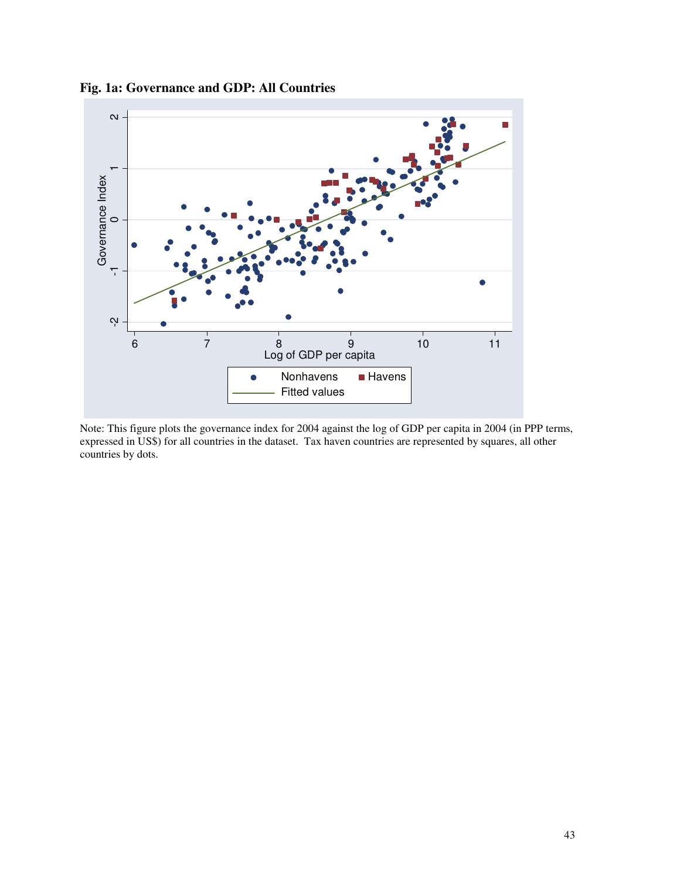

# **Fig. 1a: Governance and GDP: All Countries**

Note: This figure plots the governance index for 2004 against the log of GDP per capita in 2004 (in PPP terms, expressed in US\$) for all countries in the dataset. Tax haven countries are represented by squares, all other countries by dots.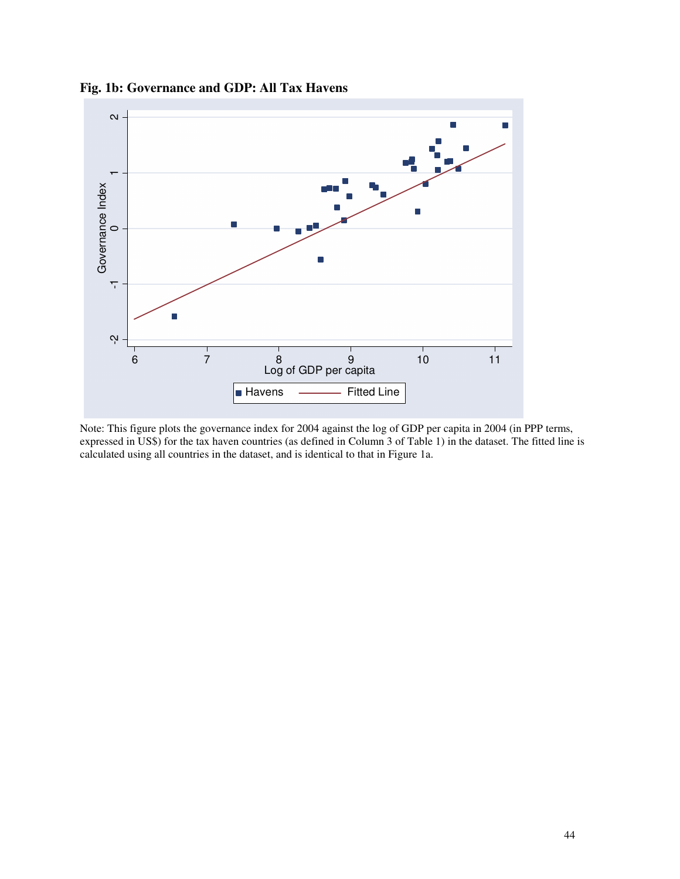

**Fig. 1b: Governance and GDP: All Tax Havens**

Note: This figure plots the governance index for 2004 against the log of GDP per capita in 2004 (in PPP terms, expressed in US\$) for the tax haven countries (as defined in Column 3 of Table 1) in the dataset. The fitted line is calculated using all countries in the dataset, and is identical to that in Figure 1a.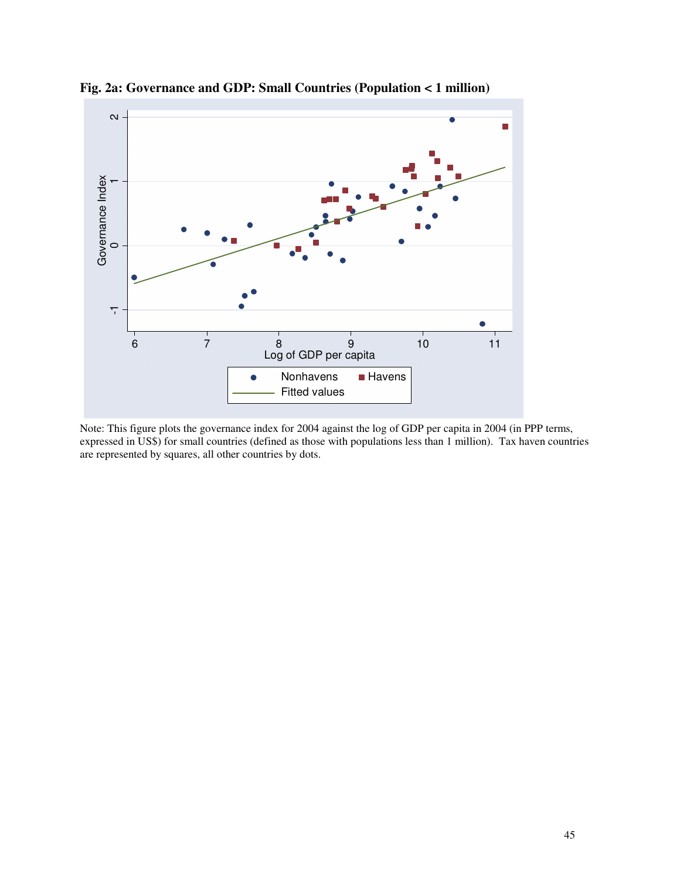

**Fig. 2a: Governance and GDP: Small Countries (Population < 1 million)**

Note: This figure plots the governance index for 2004 against the log of GDP per capita in 2004 (in PPP terms, expressed in US\$) for small countries (defined as those with populations less than 1 million). Tax haven countries are represented by squares, all other countries by dots.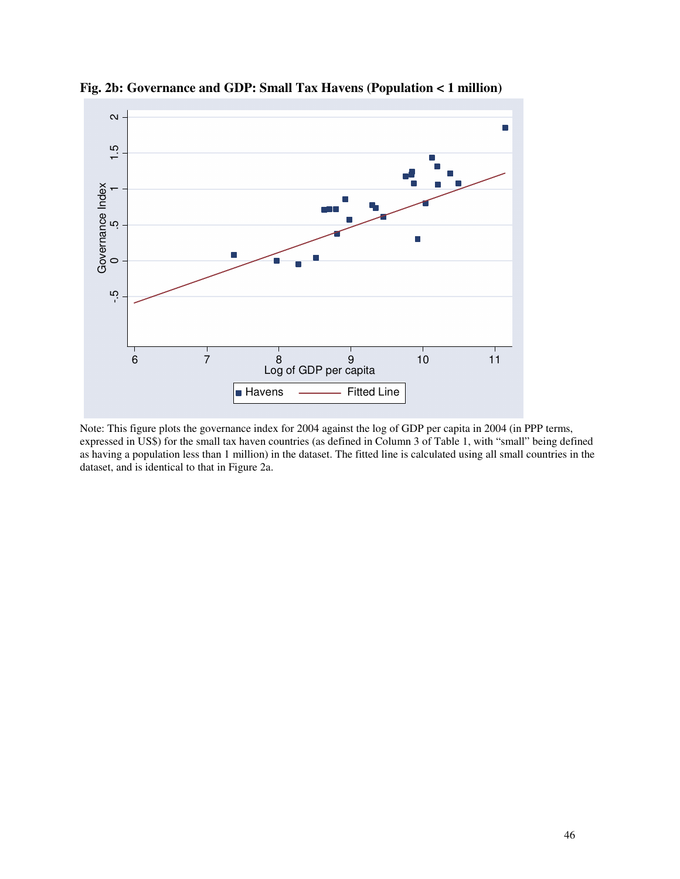

**Fig. 2b: Governance and GDP: Small Tax Havens (Population < 1 million)**

Note: This figure plots the governance index for 2004 against the log of GDP per capita in 2004 (in PPP terms, expressed in US\$) for the small tax haven countries (as defined in Column 3 of Table 1, with "small" being defined as having a population less than 1 million) in the dataset. The fitted line is calculated using all small countries in the dataset, and is identical to that in Figure 2a.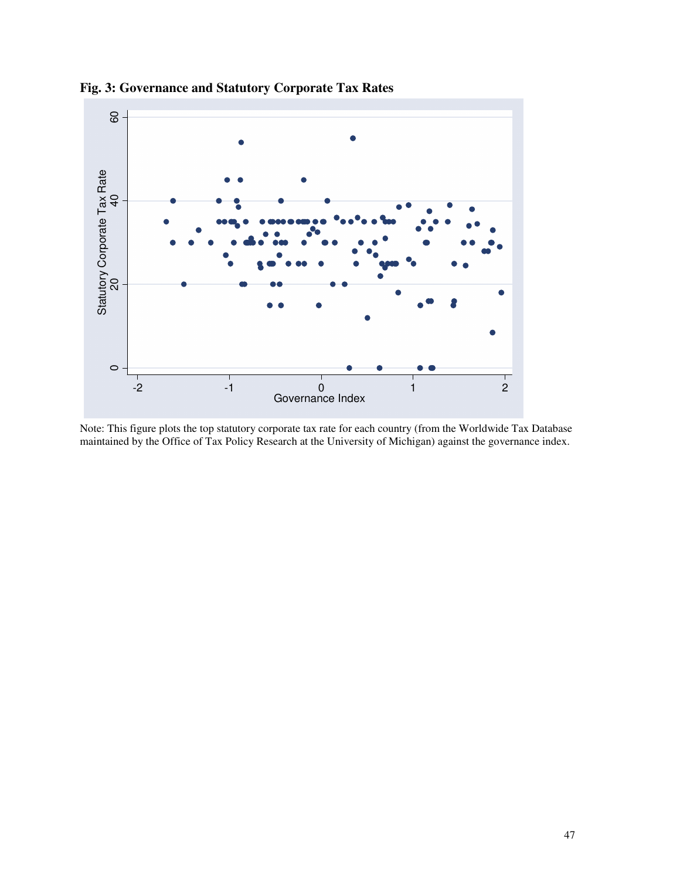

**Fig. 3: Governance and Statutory Corporate Tax Rates**

Note: This figure plots the top statutory corporate tax rate for each country (from the Worldwide Tax Database maintained by the Office of Tax Policy Research at the University of Michigan) against the governance index.